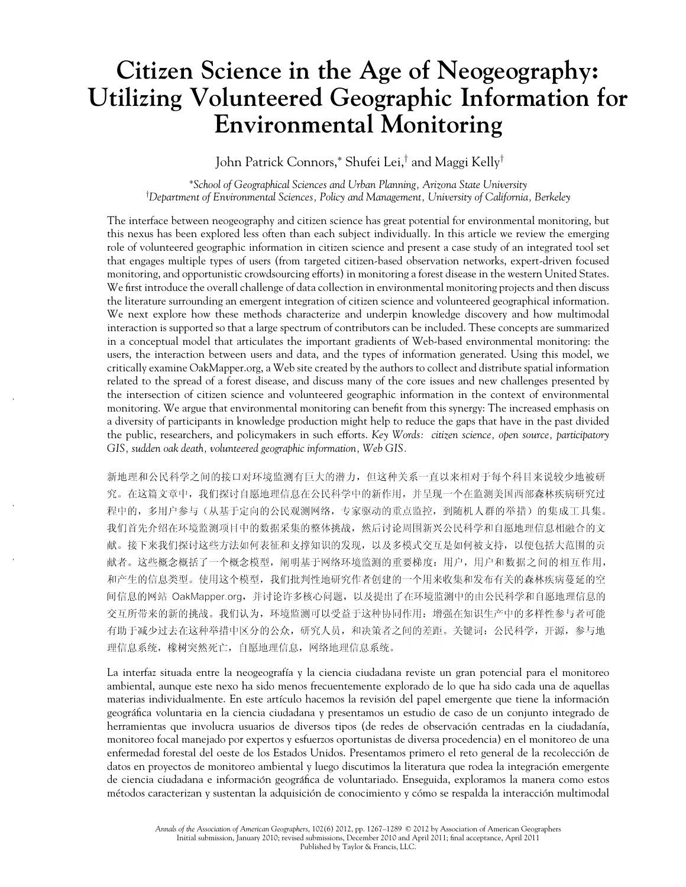# **Citizen Science in the Age of Neogeography: Utilizing Volunteered Geographic Information for Environmental Monitoring**

John Patrick Connors,<sup>∗</sup> Shufei Lei,† and Maggi Kelly†

<sup>∗</sup>*School of Geographical Sciences and Urban Planning, Arizona State University* † *Department of Environmental Sciences, Policy and Management, University of California, Berkeley*

The interface between neogeography and citizen science has great potential for environmental monitoring, but this nexus has been explored less often than each subject individually. In this article we review the emerging role of volunteered geographic information in citizen science and present a case study of an integrated tool set that engages multiple types of users (from targeted citizen-based observation networks, expert-driven focused monitoring, and opportunistic crowdsourcing efforts) in monitoring a forest disease in the western United States. We first introduce the overall challenge of data collection in environmental monitoring projects and then discuss the literature surrounding an emergent integration of citizen science and volunteered geographical information. We next explore how these methods characterize and underpin knowledge discovery and how multimodal interaction is supported so that a large spectrum of contributors can be included. These concepts are summarized in a conceptual model that articulates the important gradients of Web-based environmental monitoring: the users, the interaction between users and data, and the types of information generated. Using this model, we critically examine OakMapper.org, a Web site created by the authors to collect and distribute spatial information related to the spread of a forest disease, and discuss many of the core issues and new challenges presented by the intersection of citizen science and volunteered geographic information in the context of environmental monitoring. We argue that environmental monitoring can benefit from this synergy: The increased emphasis on a diversity of participants in knowledge production might help to reduce the gaps that have in the past divided the public, researchers, and policymakers in such efforts. *Key Words: citizen science, open source, participatory GIS, sudden oak death, volunteered geographic information, Web GIS.*

新地理和公民科学之间的接口对环境监测有巨大的潜力,但这种关系一直以来相对于每个科目来说较少地被研 究。在这篇文章中, 我们探讨自愿地理信息在公民科学中的新作用, 并呈现一个在监测美国西部森林疾病研究过 程中的,多用户参与(从基于定向的公民观测网络,专家驱动的重点监控,到随机人群的举措)的集成工具集。 我们首先介绍在环境监测项目中的数据采集的整体挑战,然后讨论周围新兴公民科学和自愿地理信息相融合的文 献。接下来我们探讨这些方法如何表征和支撑知识的发现,以及多模式交互是如何被支持,以便包括大范围的贡 献者。这些概念概括了一个概念模型,阐明基于网络环境监测的重要梯度:用户,用户和数据之间的相互作用, 和产生的信息类型。使用这个模型,我们批判性地研究作者创建的一个用来收集和发布有关的森林疾病蔓延的空 间信息的网站 OakMapper.org, 并讨论许多核心问题, 以及提出了在环境监测中的由公民科学和自愿地理信息的 交互所带来的新的挑战。我们认为,环境监测可以受益于这种协同作用:增强在知识生产中的多样性参与者可能 有助于减少过去在这种举措中区分的公众,研究人员,和决策者之间的差距。关键词:公民科学,开源,参与地 理信息系统, 橡树突然死亡, 自愿地理信息, 网络地理信息系统。

La interfaz situada entre la neogeografía y la ciencia ciudadana reviste un gran potencial para el monitoreo ambiental, aunque este nexo ha sido menos frecuentemente explorado de lo que ha sido cada una de aquellas materias individualmente. En este artículo hacemos la revisión del papel emergente que tiene la información geografica voluntaria en la ciencia ciudadana y presentamos un estudio de caso de un conjunto integrado de ´ herramientas que involucra usuarios de diversos tipos (de redes de observación centradas en la ciudadanía, monitoreo focal manejado por expertos y esfuerzos oportunistas de diversa procedencia) en el monitoreo de una enfermedad forestal del oeste de los Estados Unidos. Presentamos primero el reto general de la recoleccion de ´ datos en proyectos de monitoreo ambiental y luego discutimos la literatura que rodea la integracion emergente ´ de ciencia ciudadana e información geográfica de voluntariado. Enseguida, exploramos la manera como estos métodos caracterizan y sustentan la adquisición de conocimiento y cómo se respalda la interacción multimodal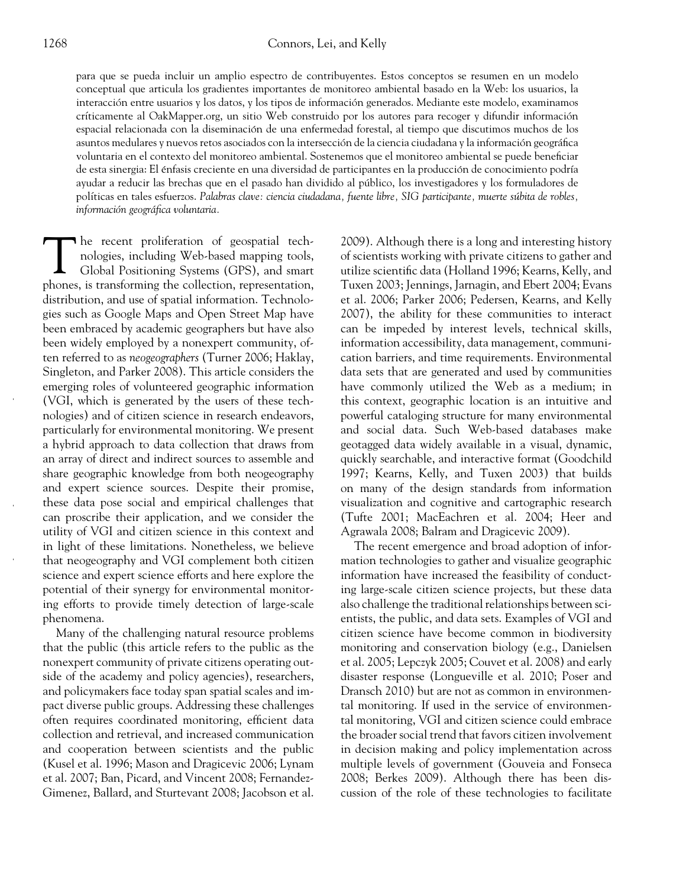para que se pueda incluir un amplio espectro de contribuyentes. Estos conceptos se resumen en un modelo conceptual que articula los gradientes importantes de monitoreo ambiental basado en la Web: los usuarios, la interacción entre usuarios y los datos, y los tipos de información generados. Mediante este modelo, examinamos críticamente al OakMapper.org, un sitio Web construido por los autores para recoger y difundir información espacial relacionada con la diseminacion de una enfermedad forestal, al tiempo que discutimos muchos de los ´ asuntos medulares y nuevos retos asociados con la intersección de la ciencia ciudadana y la información geográfica voluntaria en el contexto del monitoreo ambiental. Sostenemos que el monitoreo ambiental se puede beneficiar de esta sinergia: El énfasis creciente en una diversidad de participantes en la producción de conocimiento podría ayudar a reducir las brechas que en el pasado han dividido al publico, los investigadores y los formuladores de ´ pol´ıticas en tales esfuerzos. *Palabras clave: ciencia ciudadana, fuente libre, SIG participante, muerte subita de robles, ´ informacion geogr ´ afica voluntaria. ´*

The recent proliferation of geospatial tech-<br>nologies, including Web-based mapping tools,<br>Global Positioning Systems (GPS), and smart nologies, including Web-based mapping tools, phones, is transforming the collection, representation, distribution, and use of spatial information. Technologies such as Google Maps and Open Street Map have been embraced by academic geographers but have also been widely employed by a nonexpert community, often referred to as *neogeographers* (Turner 2006; Haklay, Singleton, and Parker 2008). This article considers the emerging roles of volunteered geographic information (VGI, which is generated by the users of these technologies) and of citizen science in research endeavors, particularly for environmental monitoring. We present a hybrid approach to data collection that draws from an array of direct and indirect sources to assemble and share geographic knowledge from both neogeography and expert science sources. Despite their promise, these data pose social and empirical challenges that can proscribe their application, and we consider the utility of VGI and citizen science in this context and in light of these limitations. Nonetheless, we believe that neogeography and VGI complement both citizen science and expert science efforts and here explore the potential of their synergy for environmental monitoring efforts to provide timely detection of large-scale phenomena.

Many of the challenging natural resource problems that the public (this article refers to the public as the nonexpert community of private citizens operating outside of the academy and policy agencies), researchers, and policymakers face today span spatial scales and impact diverse public groups. Addressing these challenges often requires coordinated monitoring, efficient data collection and retrieval, and increased communication and cooperation between scientists and the public (Kusel et al. 1996; Mason and Dragicevic 2006; Lynam et al. 2007; Ban, Picard, and Vincent 2008; Fernandez-Gimenez, Ballard, and Sturtevant 2008; Jacobson et al. 2009). Although there is a long and interesting history of scientists working with private citizens to gather and utilize scientific data (Holland 1996; Kearns, Kelly, and Tuxen 2003; Jennings, Jarnagin, and Ebert 2004; Evans et al. 2006; Parker 2006; Pedersen, Kearns, and Kelly 2007), the ability for these communities to interact can be impeded by interest levels, technical skills, information accessibility, data management, communication barriers, and time requirements. Environmental data sets that are generated and used by communities have commonly utilized the Web as a medium; in this context, geographic location is an intuitive and powerful cataloging structure for many environmental and social data. Such Web-based databases make geotagged data widely available in a visual, dynamic, quickly searchable, and interactive format (Goodchild 1997; Kearns, Kelly, and Tuxen 2003) that builds on many of the design standards from information visualization and cognitive and cartographic research (Tufte 2001; MacEachren et al. 2004; Heer and Agrawala 2008; Balram and Dragicevic 2009).

The recent emergence and broad adoption of information technologies to gather and visualize geographic information have increased the feasibility of conducting large-scale citizen science projects, but these data also challenge the traditional relationships between scientists, the public, and data sets. Examples of VGI and citizen science have become common in biodiversity monitoring and conservation biology (e.g., Danielsen et al. 2005; Lepczyk 2005; Couvet et al. 2008) and early disaster response (Longueville et al. 2010; Poser and Dransch 2010) but are not as common in environmental monitoring. If used in the service of environmental monitoring, VGI and citizen science could embrace the broader social trend that favors citizen involvement in decision making and policy implementation across multiple levels of government (Gouveia and Fonseca 2008; Berkes 2009). Although there has been discussion of the role of these technologies to facilitate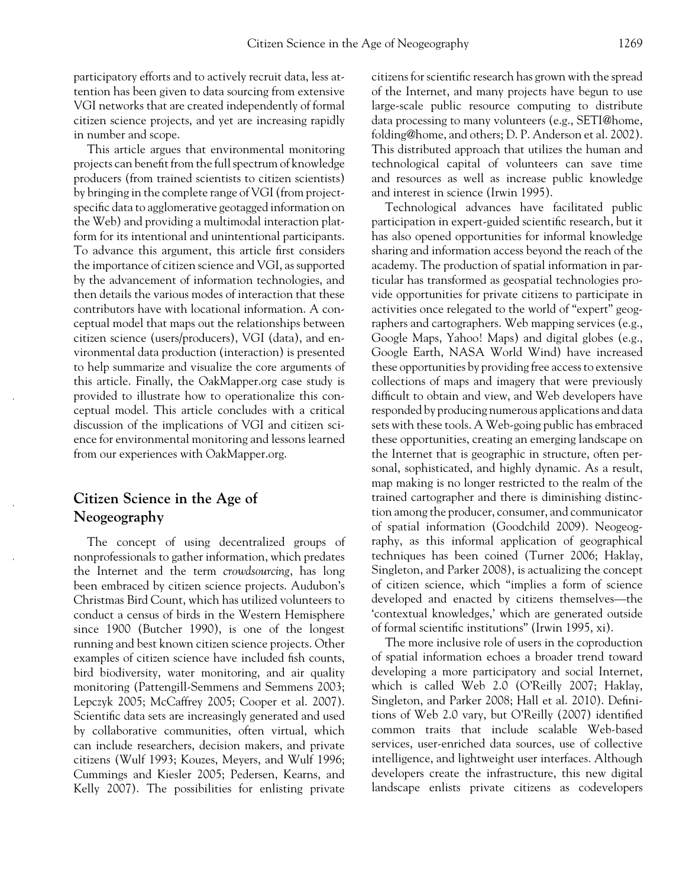participatory efforts and to actively recruit data, less attention has been given to data sourcing from extensive VGI networks that are created independently of formal citizen science projects, and yet are increasing rapidly in number and scope.

This article argues that environmental monitoring projects can benefit from the full spectrum of knowledge producers (from trained scientists to citizen scientists) by bringing in the complete range of VGI (from projectspecific data to agglomerative geotagged information on the Web) and providing a multimodal interaction platform for its intentional and unintentional participants. To advance this argument, this article first considers the importance of citizen science and VGI, as supported by the advancement of information technologies, and then details the various modes of interaction that these contributors have with locational information. A conceptual model that maps out the relationships between citizen science (users/producers), VGI (data), and environmental data production (interaction) is presented to help summarize and visualize the core arguments of this article. Finally, the OakMapper.org case study is provided to illustrate how to operationalize this conceptual model. This article concludes with a critical discussion of the implications of VGI and citizen science for environmental monitoring and lessons learned from our experiences with OakMapper.org.

# **Citizen Science in the Age of Neogeography**

The concept of using decentralized groups of nonprofessionals to gather information, which predates the Internet and the term *crowdsourcing*, has long been embraced by citizen science projects. Audubon's Christmas Bird Count, which has utilized volunteers to conduct a census of birds in the Western Hemisphere since 1900 (Butcher 1990), is one of the longest running and best known citizen science projects. Other examples of citizen science have included fish counts, bird biodiversity, water monitoring, and air quality monitoring (Pattengill-Semmens and Semmens 2003; Lepczyk 2005; McCaffrey 2005; Cooper et al. 2007). Scientific data sets are increasingly generated and used by collaborative communities, often virtual, which can include researchers, decision makers, and private citizens (Wulf 1993; Kouzes, Meyers, and Wulf 1996; Cummings and Kiesler 2005; Pedersen, Kearns, and Kelly 2007). The possibilities for enlisting private

citizens for scientific research has grown with the spread of the Internet, and many projects have begun to use large-scale public resource computing to distribute data processing to many volunteers (e.g., SETI@home, folding@home, and others; D. P. Anderson et al. 2002). This distributed approach that utilizes the human and technological capital of volunteers can save time and resources as well as increase public knowledge and interest in science (Irwin 1995).

Technological advances have facilitated public participation in expert-guided scientific research, but it has also opened opportunities for informal knowledge sharing and information access beyond the reach of the academy. The production of spatial information in particular has transformed as geospatial technologies provide opportunities for private citizens to participate in activities once relegated to the world of "expert" geographers and cartographers. Web mapping services (e.g., Google Maps, Yahoo! Maps) and digital globes (e.g., Google Earth, NASA World Wind) have increased these opportunities by providing free access to extensive collections of maps and imagery that were previously difficult to obtain and view, and Web developers have responded by producing numerous applications and data sets with these tools. A Web-going public has embraced these opportunities, creating an emerging landscape on the Internet that is geographic in structure, often personal, sophisticated, and highly dynamic. As a result, map making is no longer restricted to the realm of the trained cartographer and there is diminishing distinction among the producer, consumer, and communicator of spatial information (Goodchild 2009). Neogeography, as this informal application of geographical techniques has been coined (Turner 2006; Haklay, Singleton, and Parker 2008), is actualizing the concept of citizen science, which "implies a form of science developed and enacted by citizens themselves—the 'contextual knowledges,' which are generated outside of formal scientific institutions" (Irwin 1995, xi).

The more inclusive role of users in the coproduction of spatial information echoes a broader trend toward developing a more participatory and social Internet, which is called Web 2.0 (O'Reilly 2007; Haklay, Singleton, and Parker 2008; Hall et al. 2010). Definitions of Web 2.0 vary, but O'Reilly (2007) identified common traits that include scalable Web-based services, user-enriched data sources, use of collective intelligence, and lightweight user interfaces. Although developers create the infrastructure, this new digital landscape enlists private citizens as codevelopers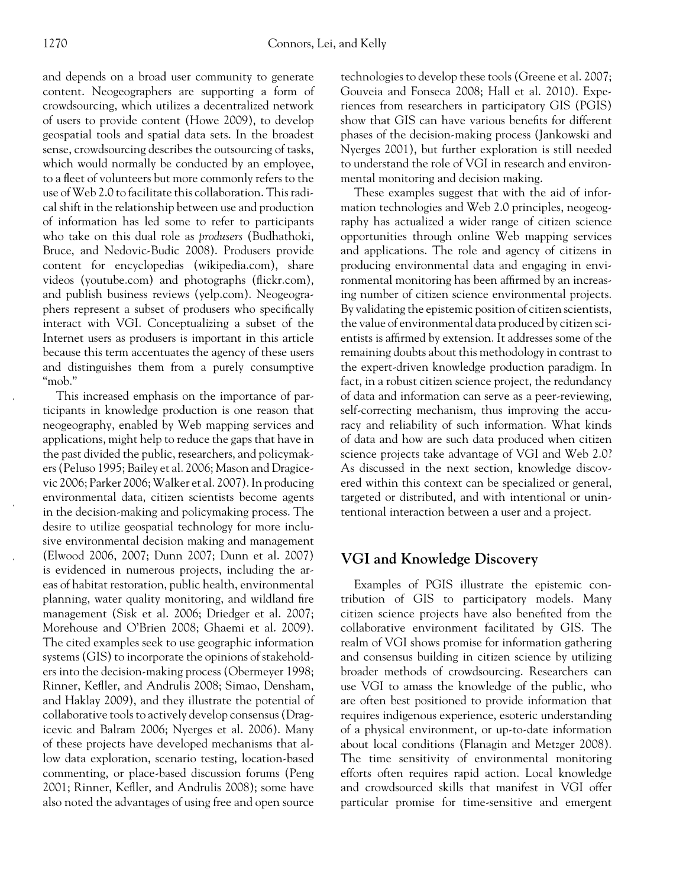and depends on a broad user community to generate content. Neogeographers are supporting a form of crowdsourcing, which utilizes a decentralized network of users to provide content (Howe 2009), to develop geospatial tools and spatial data sets. In the broadest sense, crowdsourcing describes the outsourcing of tasks, which would normally be conducted by an employee, to a fleet of volunteers but more commonly refers to the use of Web 2.0 to facilitate this collaboration. This radical shift in the relationship between use and production of information has led some to refer to participants who take on this dual role as *produsers* (Budhathoki, Bruce, and Nedovic-Budic 2008). Produsers provide content for encyclopedias (wikipedia.com), share videos (youtube.com) and photographs (flickr.com), and publish business reviews (yelp.com). Neogeographers represent a subset of produsers who specifically interact with VGI. Conceptualizing a subset of the Internet users as produsers is important in this article because this term accentuates the agency of these users and distinguishes them from a purely consumptive "mob."

This increased emphasis on the importance of participants in knowledge production is one reason that neogeography, enabled by Web mapping services and applications, might help to reduce the gaps that have in the past divided the public, researchers, and policymakers (Peluso 1995; Bailey et al. 2006; Mason and Dragicevic 2006; Parker 2006;Walker et al. 2007). In producing environmental data, citizen scientists become agents in the decision-making and policymaking process. The desire to utilize geospatial technology for more inclusive environmental decision making and management (Elwood 2006, 2007; Dunn 2007; Dunn et al. 2007) is evidenced in numerous projects, including the areas of habitat restoration, public health, environmental planning, water quality monitoring, and wildland fire management (Sisk et al. 2006; Driedger et al. 2007; Morehouse and O'Brien 2008; Ghaemi et al. 2009). The cited examples seek to use geographic information systems (GIS) to incorporate the opinions of stakeholders into the decision-making process (Obermeyer 1998; Rinner, Kefller, and Andrulis 2008; Simao, Densham, and Haklay 2009), and they illustrate the potential of collaborative tools to actively develop consensus (Dragicevic and Balram 2006; Nyerges et al. 2006). Many of these projects have developed mechanisms that allow data exploration, scenario testing, location-based commenting, or place-based discussion forums (Peng 2001; Rinner, Kefller, and Andrulis 2008); some have also noted the advantages of using free and open source

technologies to develop these tools (Greene et al. 2007; Gouveia and Fonseca 2008; Hall et al. 2010). Experiences from researchers in participatory GIS (PGIS) show that GIS can have various benefits for different phases of the decision-making process (Jankowski and Nyerges 2001), but further exploration is still needed to understand the role of VGI in research and environmental monitoring and decision making.

These examples suggest that with the aid of information technologies and Web 2.0 principles, neogeography has actualized a wider range of citizen science opportunities through online Web mapping services and applications. The role and agency of citizens in producing environmental data and engaging in environmental monitoring has been affirmed by an increasing number of citizen science environmental projects. By validating the epistemic position of citizen scientists, the value of environmental data produced by citizen scientists is affirmed by extension. It addresses some of the remaining doubts about this methodology in contrast to the expert-driven knowledge production paradigm. In fact, in a robust citizen science project, the redundancy of data and information can serve as a peer-reviewing, self-correcting mechanism, thus improving the accuracy and reliability of such information. What kinds of data and how are such data produced when citizen science projects take advantage of VGI and Web 2.0? As discussed in the next section, knowledge discovered within this context can be specialized or general, targeted or distributed, and with intentional or unintentional interaction between a user and a project.

# **VGI and Knowledge Discovery**

Examples of PGIS illustrate the epistemic contribution of GIS to participatory models. Many citizen science projects have also benefited from the collaborative environment facilitated by GIS. The realm of VGI shows promise for information gathering and consensus building in citizen science by utilizing broader methods of crowdsourcing. Researchers can use VGI to amass the knowledge of the public, who are often best positioned to provide information that requires indigenous experience, esoteric understanding of a physical environment, or up-to-date information about local conditions (Flanagin and Metzger 2008). The time sensitivity of environmental monitoring efforts often requires rapid action. Local knowledge and crowdsourced skills that manifest in VGI offer particular promise for time-sensitive and emergent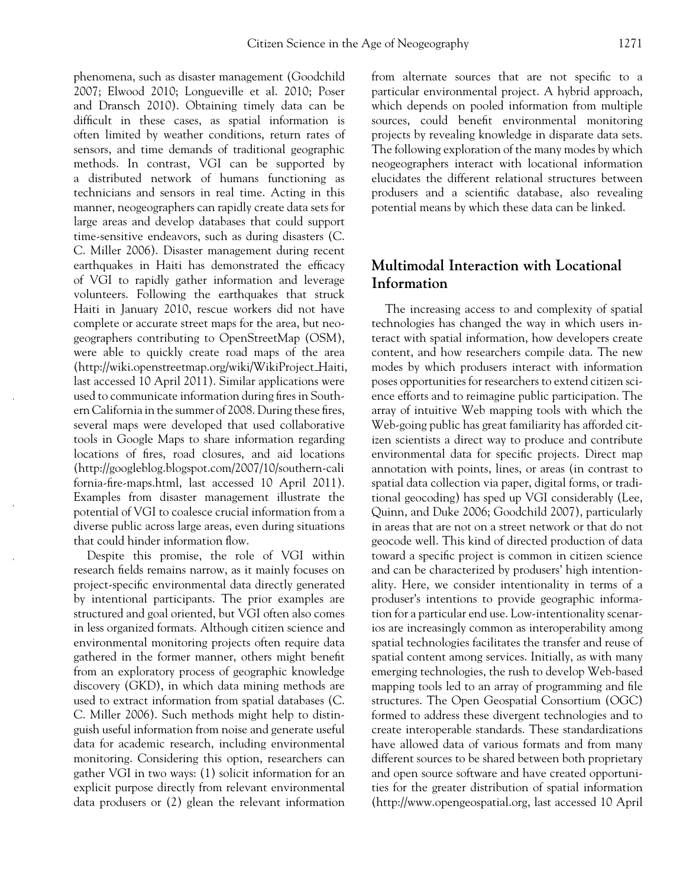phenomena, such as disaster management (Goodchild 2007; Elwood 2010; Longueville et al. 2010; Poser and Dransch 2010). Obtaining timely data can be difficult in these cases, as spatial information is often limited by weather conditions, return rates of sensors, and time demands of traditional geographic methods. In contrast, VGI can be supported by a distributed network of humans functioning as technicians and sensors in real time. Acting in this manner, neogeographers can rapidly create data sets for large areas and develop databases that could support time-sensitive endeavors, such as during disasters (C. C. Miller 2006). Disaster management during recent earthquakes in Haiti has demonstrated the efficacy of VGI to rapidly gather information and leverage volunteers. Following the earthquakes that struck Haiti in January 2010, rescue workers did not have complete or accurate street maps for the area, but neogeographers contributing to OpenStreetMap (OSM), were able to quickly create road maps of the area (http://wiki.openstreetmap.org/wiki/WikiProject Haiti, last accessed 10 April 2011). Similar applications were used to communicate information during fires in Southern California in the summer of 2008. During these fires, several maps were developed that used collaborative tools in Google Maps to share information regarding locations of fires, road closures, and aid locations (http://googleblog.blogspot.com/2007/10/southern-cali fornia-fire-maps.html, last accessed 10 April 2011). Examples from disaster management illustrate the potential of VGI to coalesce crucial information from a diverse public across large areas, even during situations that could hinder information flow.

Despite this promise, the role of VGI within research fields remains narrow, as it mainly focuses on project-specific environmental data directly generated by intentional participants. The prior examples are structured and goal oriented, but VGI often also comes in less organized formats. Although citizen science and environmental monitoring projects often require data gathered in the former manner, others might benefit from an exploratory process of geographic knowledge discovery (GKD), in which data mining methods are used to extract information from spatial databases (C. C. Miller 2006). Such methods might help to distinguish useful information from noise and generate useful data for academic research, including environmental monitoring. Considering this option, researchers can gather VGI in two ways: (1) solicit information for an explicit purpose directly from relevant environmental data produsers or (2) glean the relevant information from alternate sources that are not specific to a particular environmental project. A hybrid approach, which depends on pooled information from multiple sources, could benefit environmental monitoring projects by revealing knowledge in disparate data sets. The following exploration of the many modes by which neogeographers interact with locational information elucidates the different relational structures between produsers and a scientific database, also revealing potential means by which these data can be linked.

# **Multimodal Interaction with Locational Information**

The increasing access to and complexity of spatial technologies has changed the way in which users interact with spatial information, how developers create content, and how researchers compile data. The new modes by which produsers interact with information poses opportunities for researchers to extend citizen science efforts and to reimagine public participation. The array of intuitive Web mapping tools with which the Web-going public has great familiarity has afforded citizen scientists a direct way to produce and contribute environmental data for specific projects. Direct map annotation with points, lines, or areas (in contrast to spatial data collection via paper, digital forms, or traditional geocoding) has sped up VGI considerably (Lee, Quinn, and Duke 2006; Goodchild 2007), particularly in areas that are not on a street network or that do not geocode well. This kind of directed production of data toward a specific project is common in citizen science and can be characterized by produsers' high intentionality. Here, we consider intentionality in terms of a produser's intentions to provide geographic information for a particular end use. Low-intentionality scenarios are increasingly common as interoperability among spatial technologies facilitates the transfer and reuse of spatial content among services. Initially, as with many emerging technologies, the rush to develop Web-based mapping tools led to an array of programming and file structures. The Open Geospatial Consortium (OGC) formed to address these divergent technologies and to create interoperable standards. These standardizations have allowed data of various formats and from many different sources to be shared between both proprietary and open source software and have created opportunities for the greater distribution of spatial information (http://www.opengeospatial.org, last accessed 10 April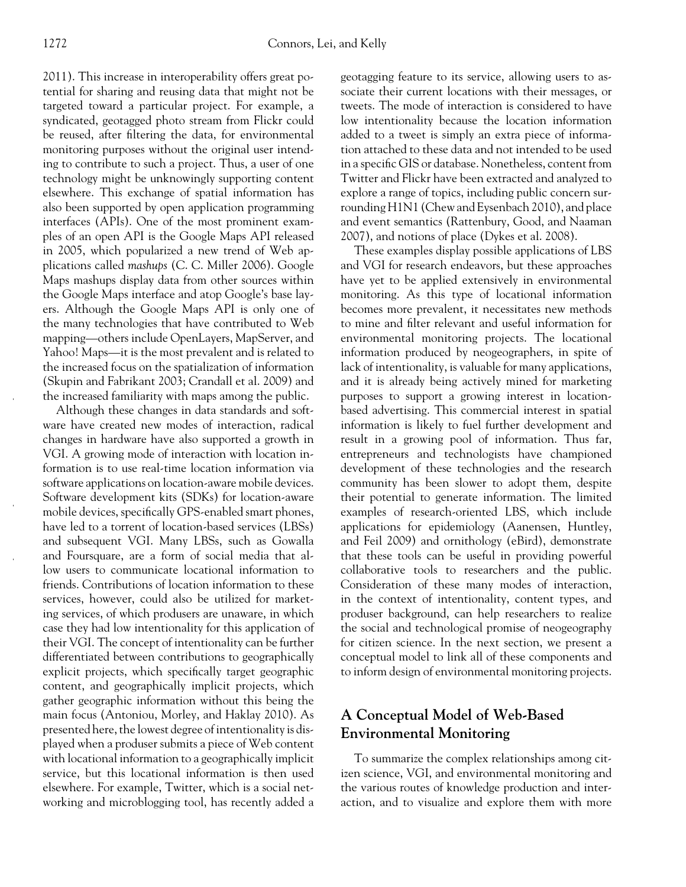2011). This increase in interoperability offers great potential for sharing and reusing data that might not be targeted toward a particular project. For example, a syndicated, geotagged photo stream from Flickr could be reused, after filtering the data, for environmental monitoring purposes without the original user intending to contribute to such a project. Thus, a user of one technology might be unknowingly supporting content elsewhere. This exchange of spatial information has also been supported by open application programming interfaces (APIs). One of the most prominent examples of an open API is the Google Maps API released in 2005, which popularized a new trend of Web applications called *mashups* (C. C. Miller 2006). Google Maps mashups display data from other sources within the Google Maps interface and atop Google's base layers. Although the Google Maps API is only one of the many technologies that have contributed to Web mapping—others include OpenLayers, MapServer, and Yahoo! Maps—it is the most prevalent and is related to the increased focus on the spatialization of information (Skupin and Fabrikant 2003; Crandall et al. 2009) and the increased familiarity with maps among the public.

Although these changes in data standards and software have created new modes of interaction, radical changes in hardware have also supported a growth in VGI. A growing mode of interaction with location information is to use real-time location information via software applications on location-aware mobile devices. Software development kits (SDKs) for location-aware mobile devices, specifically GPS-enabled smart phones, have led to a torrent of location-based services (LBSs) and subsequent VGI. Many LBSs, such as Gowalla and Foursquare, are a form of social media that allow users to communicate locational information to friends. Contributions of location information to these services, however, could also be utilized for marketing services, of which produsers are unaware, in which case they had low intentionality for this application of their VGI. The concept of intentionality can be further differentiated between contributions to geographically explicit projects, which specifically target geographic content, and geographically implicit projects, which gather geographic information without this being the main focus (Antoniou, Morley, and Haklay 2010). As presented here, the lowest degree of intentionality is displayed when a produser submits a piece of Web content with locational information to a geographically implicit service, but this locational information is then used elsewhere. For example, Twitter, which is a social networking and microblogging tool, has recently added a

geotagging feature to its service, allowing users to associate their current locations with their messages, or tweets. The mode of interaction is considered to have low intentionality because the location information added to a tweet is simply an extra piece of information attached to these data and not intended to be used in a specific GIS or database. Nonetheless, content from Twitter and Flickr have been extracted and analyzed to explore a range of topics, including public concern surrounding H1N1 (Chew and Eysenbach 2010), and place and event semantics (Rattenbury, Good, and Naaman 2007), and notions of place (Dykes et al. 2008).

These examples display possible applications of LBS and VGI for research endeavors, but these approaches have yet to be applied extensively in environmental monitoring. As this type of locational information becomes more prevalent, it necessitates new methods to mine and filter relevant and useful information for environmental monitoring projects. The locational information produced by neogeographers, in spite of lack of intentionality, is valuable for many applications, and it is already being actively mined for marketing purposes to support a growing interest in locationbased advertising. This commercial interest in spatial information is likely to fuel further development and result in a growing pool of information. Thus far, entrepreneurs and technologists have championed development of these technologies and the research community has been slower to adopt them, despite their potential to generate information. The limited examples of research-oriented LBS, which include applications for epidemiology (Aanensen, Huntley, and Feil 2009) and ornithology (eBird), demonstrate that these tools can be useful in providing powerful collaborative tools to researchers and the public. Consideration of these many modes of interaction, in the context of intentionality, content types, and produser background, can help researchers to realize the social and technological promise of neogeography for citizen science. In the next section, we present a conceptual model to link all of these components and to inform design of environmental monitoring projects.

# **A Conceptual Model of Web-Based Environmental Monitoring**

To summarize the complex relationships among citizen science, VGI, and environmental monitoring and the various routes of knowledge production and interaction, and to visualize and explore them with more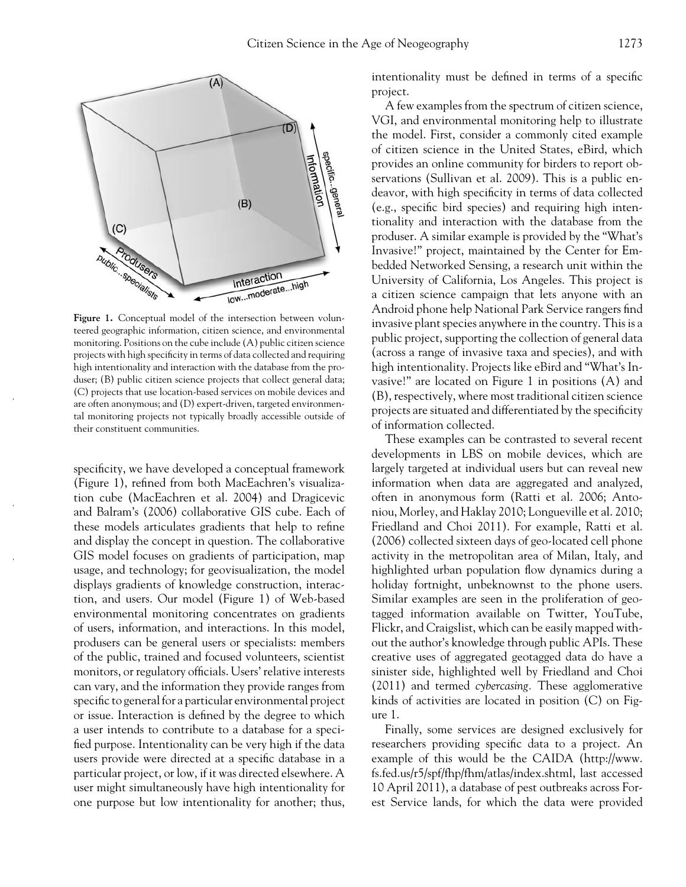

**Figure 1.** Conceptual model of the intersection between volunteered geographic information, citizen science, and environmental monitoring. Positions on the cube include (A) public citizen science projects with high specificity in terms of data collected and requiring high intentionality and interaction with the database from the produser; (B) public citizen science projects that collect general data; (C) projects that use location-based services on mobile devices and are often anonymous; and (D) expert-driven, targeted environmental monitoring projects not typically broadly accessible outside of their constituent communities.

specificity, we have developed a conceptual framework (Figure 1), refined from both MacEachren's visualization cube (MacEachren et al. 2004) and Dragicevic and Balram's (2006) collaborative GIS cube. Each of these models articulates gradients that help to refine and display the concept in question. The collaborative GIS model focuses on gradients of participation, map usage, and technology; for geovisualization, the model displays gradients of knowledge construction, interaction, and users. Our model (Figure 1) of Web-based environmental monitoring concentrates on gradients of users, information, and interactions. In this model, produsers can be general users or specialists: members of the public, trained and focused volunteers, scientist monitors, or regulatory officials. Users' relative interests can vary, and the information they provide ranges from specific to general for a particular environmental project or issue. Interaction is defined by the degree to which a user intends to contribute to a database for a specified purpose. Intentionality can be very high if the data users provide were directed at a specific database in a particular project, or low, if it was directed elsewhere. A user might simultaneously have high intentionality for one purpose but low intentionality for another; thus,

intentionality must be defined in terms of a specific project.

A few examples from the spectrum of citizen science, VGI, and environmental monitoring help to illustrate the model. First, consider a commonly cited example of citizen science in the United States, eBird, which provides an online community for birders to report observations (Sullivan et al. 2009). This is a public endeavor, with high specificity in terms of data collected (e.g., specific bird species) and requiring high intentionality and interaction with the database from the produser. A similar example is provided by the "What's Invasive!" project, maintained by the Center for Embedded Networked Sensing, a research unit within the University of California, Los Angeles. This project is a citizen science campaign that lets anyone with an Android phone help National Park Service rangers find invasive plant species anywhere in the country. This is a public project, supporting the collection of general data (across a range of invasive taxa and species), and with high intentionality. Projects like eBird and "What's Invasive!" are located on Figure 1 in positions (A) and (B), respectively, where most traditional citizen science projects are situated and differentiated by the specificity of information collected.

These examples can be contrasted to several recent developments in LBS on mobile devices, which are largely targeted at individual users but can reveal new information when data are aggregated and analyzed, often in anonymous form (Ratti et al. 2006; Antoniou, Morley, and Haklay 2010; Longueville et al. 2010; Friedland and Choi 2011). For example, Ratti et al. (2006) collected sixteen days of geo-located cell phone activity in the metropolitan area of Milan, Italy, and highlighted urban population flow dynamics during a holiday fortnight, unbeknownst to the phone users. Similar examples are seen in the proliferation of geotagged information available on Twitter, YouTube, Flickr, and Craigslist, which can be easily mapped without the author's knowledge through public APIs. These creative uses of aggregated geotagged data do have a sinister side, highlighted well by Friedland and Choi (2011) and termed *cybercasing.* These agglomerative kinds of activities are located in position (C) on Figure 1.

Finally, some services are designed exclusively for researchers providing specific data to a project. An example of this would be the CAIDA (http://www. fs.fed.us/r5/spf/fhp/fhm/atlas/index.shtml, last accessed 10 April 2011), a database of pest outbreaks across Forest Service lands, for which the data were provided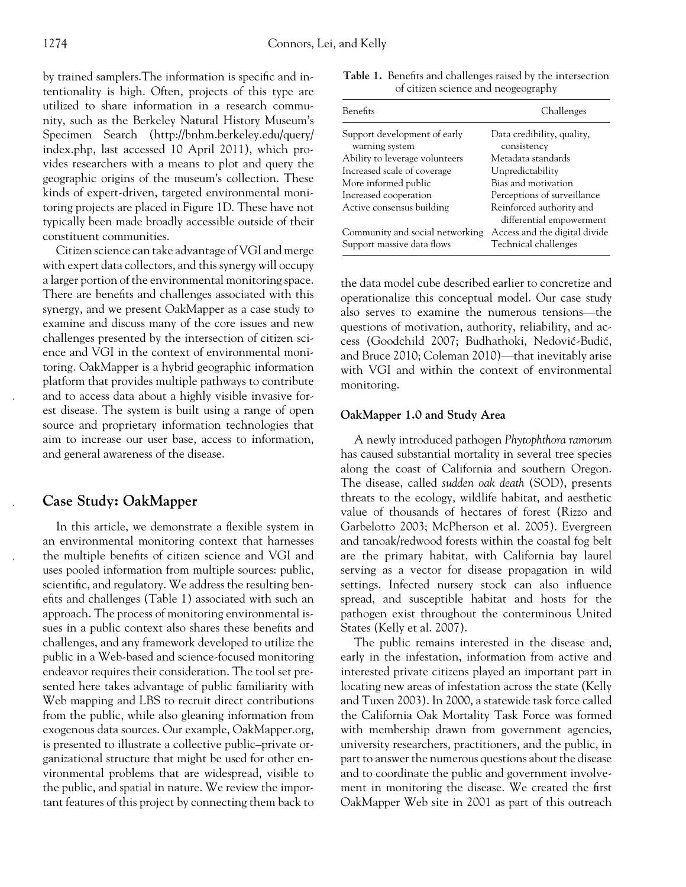by trained samplers.The information is specific and intentionality is high. Often, projects of this type are utilized to share information in a research community, such as the Berkeley Natural History Museum's Specimen Search (http://bnhm.berkeley.edu/query/ index.php, last accessed 10 April 2011), which provides researchers with a means to plot and query the geographic origins of the museum's collection. These kinds of expert-driven, targeted environmental monitoring projects are placed in Figure 1D. These have not typically been made broadly accessible outside of their constituent communities.

Citizen science can take advantage of VGI and merge with expert data collectors, and this synergy will occupy a larger portion of the environmental monitoring space. There are benefits and challenges associated with this synergy, and we present OakMapper as a case study to examine and discuss many of the core issues and new challenges presented by the intersection of citizen science and VGI in the context of environmental monitoring. OakMapper is a hybrid geographic information platform that provides multiple pathways to contribute and to access data about a highly visible invasive forest disease. The system is built using a range of open source and proprietary information technologies that aim to increase our user base, access to information, and general awareness of the disease.

# **Case Study: OakMapper**

In this article, we demonstrate a flexible system in an environmental monitoring context that harnesses the multiple benefits of citizen science and VGI and uses pooled information from multiple sources: public, scientific, and regulatory. We address the resulting benefits and challenges (Table 1) associated with such an approach. The process of monitoring environmental issues in a public context also shares these benefits and challenges, and any framework developed to utilize the public in a Web-based and science-focused monitoring endeavor requires their consideration. The tool set presented here takes advantage of public familiarity with Web mapping and LBS to recruit direct contributions from the public, while also gleaning information from exogenous data sources. Our example, OakMapper.org, is presented to illustrate a collective public–private organizational structure that might be used for other environmental problems that are widespread, visible to the public, and spatial in nature. We review the important features of this project by connecting them back to

| Table 1. Benefits and challenges raised by the intersection |
|-------------------------------------------------------------|
| of citizen science and neogeography                         |

| <b>Benefits</b>                                               | Challenges                                            |
|---------------------------------------------------------------|-------------------------------------------------------|
| Support development of early<br>warning system                | Data credibility, quality,<br>consistency             |
| Ability to leverage volunteers                                | Metadata standards                                    |
| Increased scale of coverage                                   | Unpredictability                                      |
| More informed public                                          | Bias and motivation                                   |
| Increased cooperation                                         | Perceptions of surveillance                           |
| Active consensus building                                     | Reinforced authority and<br>differential empowerment  |
| Community and social networking<br>Support massive data flows | Access and the digital divide<br>Technical challenges |

the data model cube described earlier to concretize and operationalize this conceptual model. Our case study also serves to examine the numerous tensions—the questions of motivation, authority, reliability, and access (Goodchild 2007; Budhathoki, Nedović-Budić, and Bruce 2010; Coleman 2010)—that inevitably arise with VGI and within the context of environmental monitoring.

### **OakMapper 1.0 and Study Area**

A newly introduced pathogen *Phytophthora ramorum* has caused substantial mortality in several tree species along the coast of California and southern Oregon. The disease, called *sudden oak death* (SOD), presents threats to the ecology, wildlife habitat, and aesthetic value of thousands of hectares of forest (Rizzo and Garbelotto 2003; McPherson et al. 2005). Evergreen and tanoak/redwood forests within the coastal fog belt are the primary habitat, with California bay laurel serving as a vector for disease propagation in wild settings. Infected nursery stock can also influence spread, and susceptible habitat and hosts for the pathogen exist throughout the conterminous United States (Kelly et al. 2007).

The public remains interested in the disease and, early in the infestation, information from active and interested private citizens played an important part in locating new areas of infestation across the state (Kelly and Tuxen 2003). In 2000, a statewide task force called the California Oak Mortality Task Force was formed with membership drawn from government agencies, university researchers, practitioners, and the public, in part to answer the numerous questions about the disease and to coordinate the public and government involvement in monitoring the disease. We created the first OakMapper Web site in 2001 as part of this outreach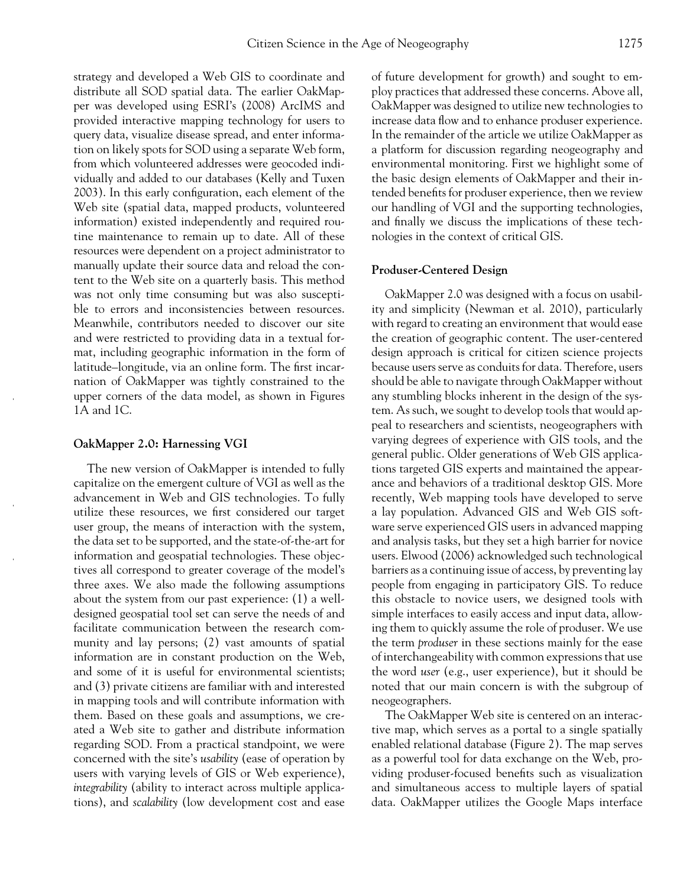strategy and developed a Web GIS to coordinate and distribute all SOD spatial data. The earlier OakMapper was developed using ESRI's (2008) ArcIMS and provided interactive mapping technology for users to query data, visualize disease spread, and enter information on likely spots for SOD using a separate Web form, from which volunteered addresses were geocoded individually and added to our databases (Kelly and Tuxen 2003). In this early configuration, each element of the Web site (spatial data, mapped products, volunteered information) existed independently and required routine maintenance to remain up to date. All of these resources were dependent on a project administrator to manually update their source data and reload the content to the Web site on a quarterly basis. This method was not only time consuming but was also susceptible to errors and inconsistencies between resources. Meanwhile, contributors needed to discover our site and were restricted to providing data in a textual format, including geographic information in the form of latitude–longitude, via an online form. The first incarnation of OakMapper was tightly constrained to the upper corners of the data model, as shown in Figures 1A and 1C.

#### **OakMapper 2.0: Harnessing VGI**

The new version of OakMapper is intended to fully capitalize on the emergent culture of VGI as well as the advancement in Web and GIS technologies. To fully utilize these resources, we first considered our target user group, the means of interaction with the system, the data set to be supported, and the state-of-the-art for information and geospatial technologies. These objectives all correspond to greater coverage of the model's three axes. We also made the following assumptions about the system from our past experience: (1) a welldesigned geospatial tool set can serve the needs of and facilitate communication between the research community and lay persons; (2) vast amounts of spatial information are in constant production on the Web, and some of it is useful for environmental scientists; and (3) private citizens are familiar with and interested in mapping tools and will contribute information with them. Based on these goals and assumptions, we created a Web site to gather and distribute information regarding SOD. From a practical standpoint, we were concerned with the site's *usability* (ease of operation by users with varying levels of GIS or Web experience), *integrability* (ability to interact across multiple applications), and *scalability* (low development cost and ease

of future development for growth) and sought to employ practices that addressed these concerns. Above all, OakMapper was designed to utilize new technologies to increase data flow and to enhance produser experience. In the remainder of the article we utilize OakMapper as a platform for discussion regarding neogeography and environmental monitoring. First we highlight some of the basic design elements of OakMapper and their intended benefits for produser experience, then we review our handling of VGI and the supporting technologies, and finally we discuss the implications of these technologies in the context of critical GIS.

### **Produser-Centered Design**

OakMapper 2.0 was designed with a focus on usability and simplicity (Newman et al. 2010), particularly with regard to creating an environment that would ease the creation of geographic content. The user-centered design approach is critical for citizen science projects because users serve as conduits for data. Therefore, users should be able to navigate through OakMapper without any stumbling blocks inherent in the design of the system. As such, we sought to develop tools that would appeal to researchers and scientists, neogeographers with varying degrees of experience with GIS tools, and the general public. Older generations of Web GIS applications targeted GIS experts and maintained the appearance and behaviors of a traditional desktop GIS. More recently, Web mapping tools have developed to serve a lay population. Advanced GIS and Web GIS software serve experienced GIS users in advanced mapping and analysis tasks, but they set a high barrier for novice users. Elwood (2006) acknowledged such technological barriers as a continuing issue of access, by preventing lay people from engaging in participatory GIS. To reduce this obstacle to novice users, we designed tools with simple interfaces to easily access and input data, allowing them to quickly assume the role of produser. We use the term *produser* in these sections mainly for the ease of interchangeability with common expressions that use the word *user* (e.g., user experience), but it should be noted that our main concern is with the subgroup of neogeographers.

The OakMapper Web site is centered on an interactive map, which serves as a portal to a single spatially enabled relational database (Figure 2). The map serves as a powerful tool for data exchange on the Web, providing produser-focused benefits such as visualization and simultaneous access to multiple layers of spatial data. OakMapper utilizes the Google Maps interface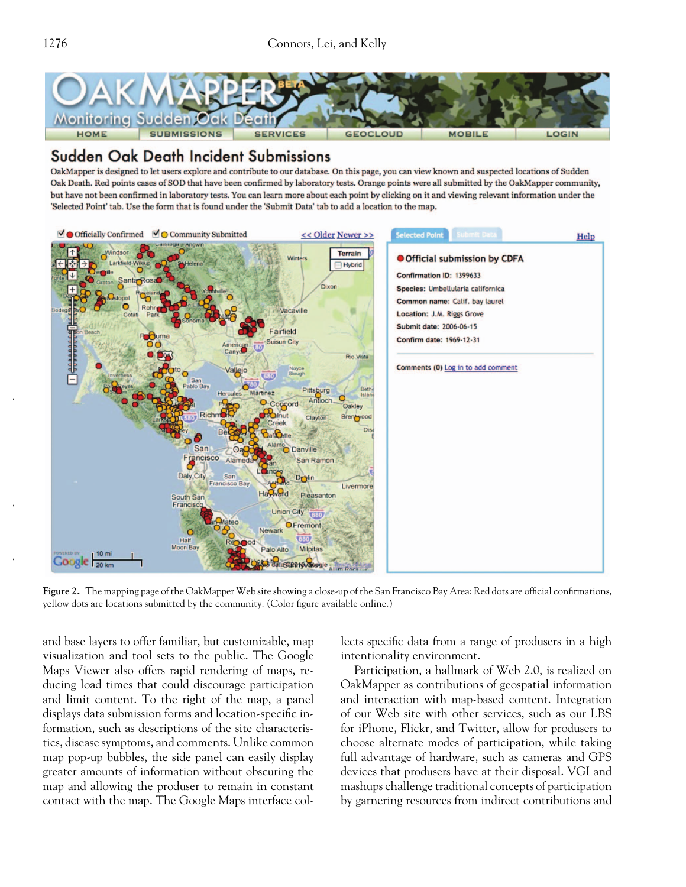

# Sudden Oak Death Incident Submissions

OakMapper is designed to let users explore and contribute to our database. On this page, you can view known and suspected locations of Sudden Oak Death. Red points cases of SOD that have been confirmed by laboratory tests. Orange points were all submitted by the OakMapper community, but have not been confirmed in laboratory tests. You can learn more about each point by clicking on it and viewing relevant information under the 'Selected Point' tab. Use the form that is found under the 'Submit Data' tab to add a location to the map.



**Figure 2.** The mapping page of the OakMapper Web site showing a close-up of the San Francisco Bay Area: Red dots are official confirmations, yellow dots are locations submitted by the community. (Color figure available online.)

and base layers to offer familiar, but customizable, map visualization and tool sets to the public. The Google Maps Viewer also offers rapid rendering of maps, reducing load times that could discourage participation and limit content. To the right of the map, a panel displays data submission forms and location-specific information, such as descriptions of the site characteristics, disease symptoms, and comments. Unlike common map pop-up bubbles, the side panel can easily display greater amounts of information without obscuring the map and allowing the produser to remain in constant contact with the map. The Google Maps interface collects specific data from a range of produsers in a high intentionality environment.

Participation, a hallmark of Web 2.0, is realized on OakMapper as contributions of geospatial information and interaction with map-based content. Integration of our Web site with other services, such as our LBS for iPhone, Flickr, and Twitter, allow for produsers to choose alternate modes of participation, while taking full advantage of hardware, such as cameras and GPS devices that produsers have at their disposal. VGI and mashups challenge traditional concepts of participation by garnering resources from indirect contributions and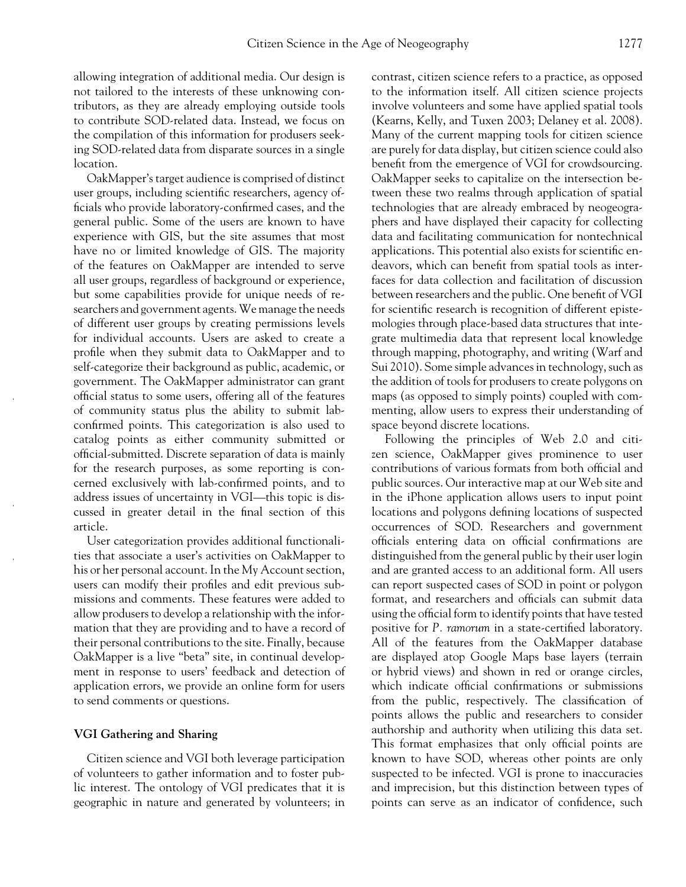allowing integration of additional media. Our design is not tailored to the interests of these unknowing contributors, as they are already employing outside tools to contribute SOD-related data. Instead, we focus on the compilation of this information for produsers seeking SOD-related data from disparate sources in a single location.

OakMapper's target audience is comprised of distinct user groups, including scientific researchers, agency officials who provide laboratory-confirmed cases, and the general public. Some of the users are known to have experience with GIS, but the site assumes that most have no or limited knowledge of GIS. The majority of the features on OakMapper are intended to serve all user groups, regardless of background or experience, but some capabilities provide for unique needs of researchers and government agents.We manage the needs of different user groups by creating permissions levels for individual accounts. Users are asked to create a profile when they submit data to OakMapper and to self-categorize their background as public, academic, or government. The OakMapper administrator can grant official status to some users, offering all of the features of community status plus the ability to submit labconfirmed points. This categorization is also used to catalog points as either community submitted or official-submitted. Discrete separation of data is mainly for the research purposes, as some reporting is concerned exclusively with lab-confirmed points, and to address issues of uncertainty in VGI—this topic is discussed in greater detail in the final section of this article.

User categorization provides additional functionalities that associate a user's activities on OakMapper to his or her personal account. In the My Account section, users can modify their profiles and edit previous submissions and comments. These features were added to allow produsers to develop a relationship with the information that they are providing and to have a record of their personal contributions to the site. Finally, because OakMapper is a live "beta" site, in continual development in response to users' feedback and detection of application errors, we provide an online form for users to send comments or questions.

#### **VGI Gathering and Sharing**

Citizen science and VGI both leverage participation of volunteers to gather information and to foster public interest. The ontology of VGI predicates that it is geographic in nature and generated by volunteers; in

contrast, citizen science refers to a practice, as opposed to the information itself. All citizen science projects involve volunteers and some have applied spatial tools (Kearns, Kelly, and Tuxen 2003; Delaney et al. 2008). Many of the current mapping tools for citizen science are purely for data display, but citizen science could also benefit from the emergence of VGI for crowdsourcing. OakMapper seeks to capitalize on the intersection between these two realms through application of spatial technologies that are already embraced by neogeographers and have displayed their capacity for collecting data and facilitating communication for nontechnical applications. This potential also exists for scientific endeavors, which can benefit from spatial tools as interfaces for data collection and facilitation of discussion between researchers and the public. One benefit of VGI for scientific research is recognition of different epistemologies through place-based data structures that integrate multimedia data that represent local knowledge through mapping, photography, and writing (Warf and Sui 2010). Some simple advances in technology, such as the addition of tools for produsers to create polygons on maps (as opposed to simply points) coupled with commenting, allow users to express their understanding of space beyond discrete locations.

Following the principles of Web 2.0 and citizen science, OakMapper gives prominence to user contributions of various formats from both official and public sources. Our interactive map at our Web site and in the iPhone application allows users to input point locations and polygons defining locations of suspected occurrences of SOD. Researchers and government officials entering data on official confirmations are distinguished from the general public by their user login and are granted access to an additional form. All users can report suspected cases of SOD in point or polygon format, and researchers and officials can submit data using the official form to identify points that have tested positive for *P. ramorum* in a state-certified laboratory. All of the features from the OakMapper database are displayed atop Google Maps base layers (terrain or hybrid views) and shown in red or orange circles, which indicate official confirmations or submissions from the public, respectively. The classification of points allows the public and researchers to consider authorship and authority when utilizing this data set. This format emphasizes that only official points are known to have SOD, whereas other points are only suspected to be infected. VGI is prone to inaccuracies and imprecision, but this distinction between types of points can serve as an indicator of confidence, such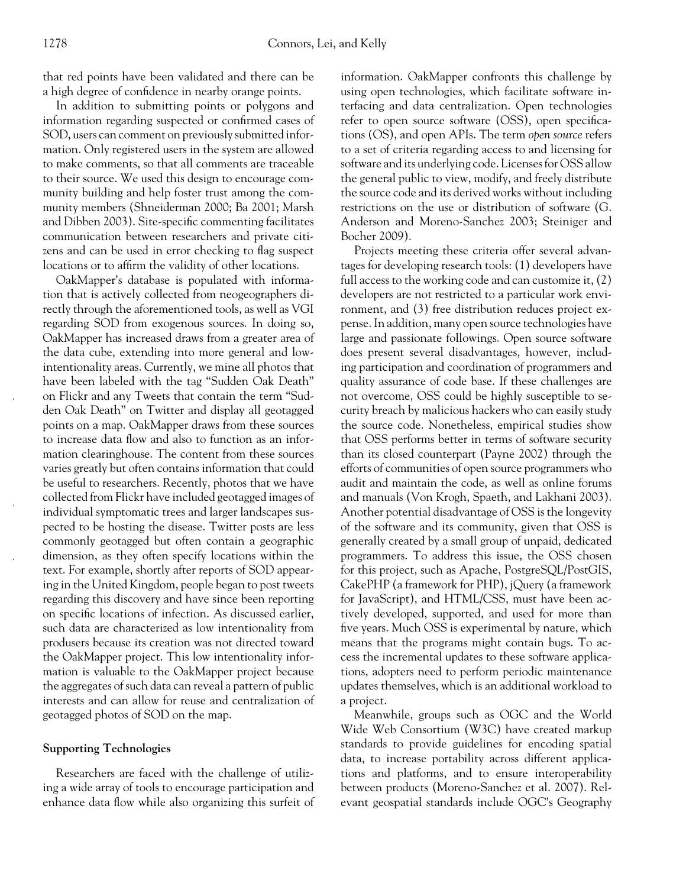that red points have been validated and there can be a high degree of confidence in nearby orange points.

In addition to submitting points or polygons and information regarding suspected or confirmed cases of SOD, users can comment on previously submitted information. Only registered users in the system are allowed to make comments, so that all comments are traceable to their source. We used this design to encourage community building and help foster trust among the community members (Shneiderman 2000; Ba 2001; Marsh and Dibben 2003). Site-specific commenting facilitates communication between researchers and private citizens and can be used in error checking to flag suspect locations or to affirm the validity of other locations.

OakMapper's database is populated with information that is actively collected from neogeographers directly through the aforementioned tools, as well as VGI regarding SOD from exogenous sources. In doing so, OakMapper has increased draws from a greater area of the data cube, extending into more general and lowintentionality areas. Currently, we mine all photos that have been labeled with the tag "Sudden Oak Death" on Flickr and any Tweets that contain the term "Sudden Oak Death" on Twitter and display all geotagged points on a map. OakMapper draws from these sources to increase data flow and also to function as an information clearinghouse. The content from these sources varies greatly but often contains information that could be useful to researchers. Recently, photos that we have collected from Flickr have included geotagged images of individual symptomatic trees and larger landscapes suspected to be hosting the disease. Twitter posts are less commonly geotagged but often contain a geographic dimension, as they often specify locations within the text. For example, shortly after reports of SOD appearing in the United Kingdom, people began to post tweets regarding this discovery and have since been reporting on specific locations of infection. As discussed earlier, such data are characterized as low intentionality from produsers because its creation was not directed toward the OakMapper project. This low intentionality information is valuable to the OakMapper project because the aggregates of such data can reveal a pattern of public interests and can allow for reuse and centralization of geotagged photos of SOD on the map.

### **Supporting Technologies**

Researchers are faced with the challenge of utilizing a wide array of tools to encourage participation and enhance data flow while also organizing this surfeit of information. OakMapper confronts this challenge by using open technologies, which facilitate software interfacing and data centralization. Open technologies refer to open source software (OSS), open specifications (OS), and open APIs. The term *open source* refers to a set of criteria regarding access to and licensing for software and its underlying code. Licenses for OSS allow the general public to view, modify, and freely distribute the source code and its derived works without including restrictions on the use or distribution of software (G. Anderson and Moreno-Sanchez 2003; Steiniger and Bocher 2009).

Projects meeting these criteria offer several advantages for developing research tools: (1) developers have full access to the working code and can customize it, (2) developers are not restricted to a particular work environment, and (3) free distribution reduces project expense. In addition, many open source technologies have large and passionate followings. Open source software does present several disadvantages, however, including participation and coordination of programmers and quality assurance of code base. If these challenges are not overcome, OSS could be highly susceptible to security breach by malicious hackers who can easily study the source code. Nonetheless, empirical studies show that OSS performs better in terms of software security than its closed counterpart (Payne 2002) through the efforts of communities of open source programmers who audit and maintain the code, as well as online forums and manuals (Von Krogh, Spaeth, and Lakhani 2003). Another potential disadvantage of OSS is the longevity of the software and its community, given that OSS is generally created by a small group of unpaid, dedicated programmers. To address this issue, the OSS chosen for this project, such as Apache, PostgreSQL/PostGIS, CakePHP (a framework for PHP), jQuery (a framework for JavaScript), and HTML/CSS, must have been actively developed, supported, and used for more than five years. Much OSS is experimental by nature, which means that the programs might contain bugs. To access the incremental updates to these software applications, adopters need to perform periodic maintenance updates themselves, which is an additional workload to a project.

Meanwhile, groups such as OGC and the World Wide Web Consortium (W3C) have created markup standards to provide guidelines for encoding spatial data, to increase portability across different applications and platforms, and to ensure interoperability between products (Moreno-Sanchez et al. 2007). Relevant geospatial standards include OGC's Geography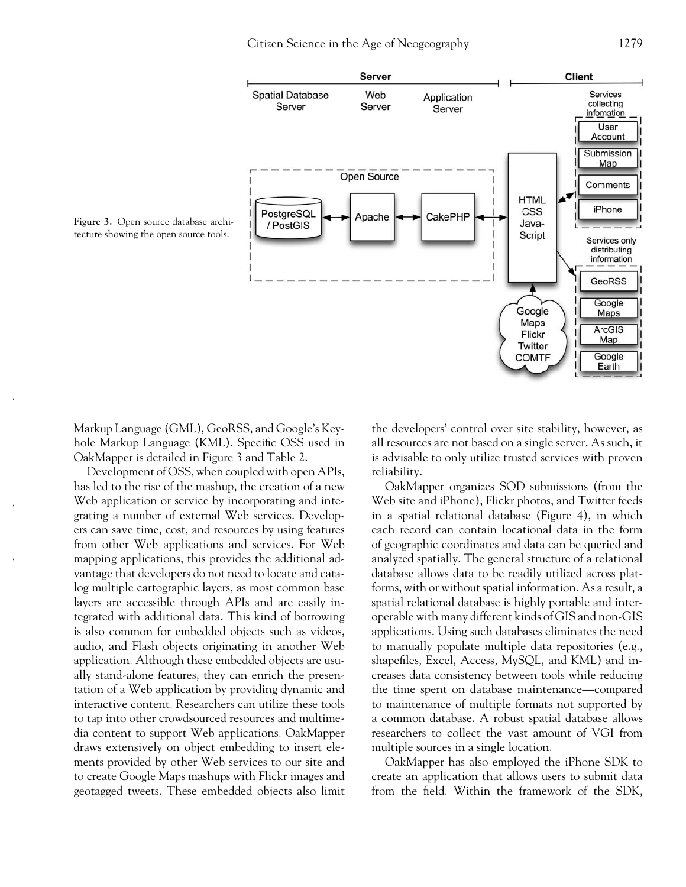



Markup Language (GML), GeoRSS, and Google's Keyhole Markup Language (KML). Specific OSS used in OakMapper is detailed in Figure 3 and Table 2.

Development of OSS, when coupled with open APIs, has led to the rise of the mashup, the creation of a new Web application or service by incorporating and integrating a number of external Web services. Developers can save time, cost, and resources by using features from other Web applications and services. For Web mapping applications, this provides the additional advantage that developers do not need to locate and catalog multiple cartographic layers, as most common base layers are accessible through APIs and are easily integrated with additional data. This kind of borrowing is also common for embedded objects such as videos, audio, and Flash objects originating in another Web application. Although these embedded objects are usually stand-alone features, they can enrich the presentation of a Web application by providing dynamic and interactive content. Researchers can utilize these tools to tap into other crowdsourced resources and multimedia content to support Web applications. OakMapper draws extensively on object embedding to insert elements provided by other Web services to our site and to create Google Maps mashups with Flickr images and geotagged tweets. These embedded objects also limit

the developers' control over site stability, however, as all resources are not based on a single server. As such, it is advisable to only utilize trusted services with proven reliability.

OakMapper organizes SOD submissions (from the Web site and iPhone), Flickr photos, and Twitter feeds in a spatial relational database (Figure 4), in which each record can contain locational data in the form of geographic coordinates and data can be queried and analyzed spatially. The general structure of a relational database allows data to be readily utilized across platforms, with or without spatial information. As a result, a spatial relational database is highly portable and interoperable with many different kinds of GIS and non-GIS applications. Using such databases eliminates the need to manually populate multiple data repositories (e.g., shapefiles, Excel, Access, MySQL, and KML) and increases data consistency between tools while reducing the time spent on database maintenance—compared to maintenance of multiple formats not supported by a common database. A robust spatial database allows researchers to collect the vast amount of VGI from multiple sources in a single location.

OakMapper has also employed the iPhone SDK to create an application that allows users to submit data from the field. Within the framework of the SDK,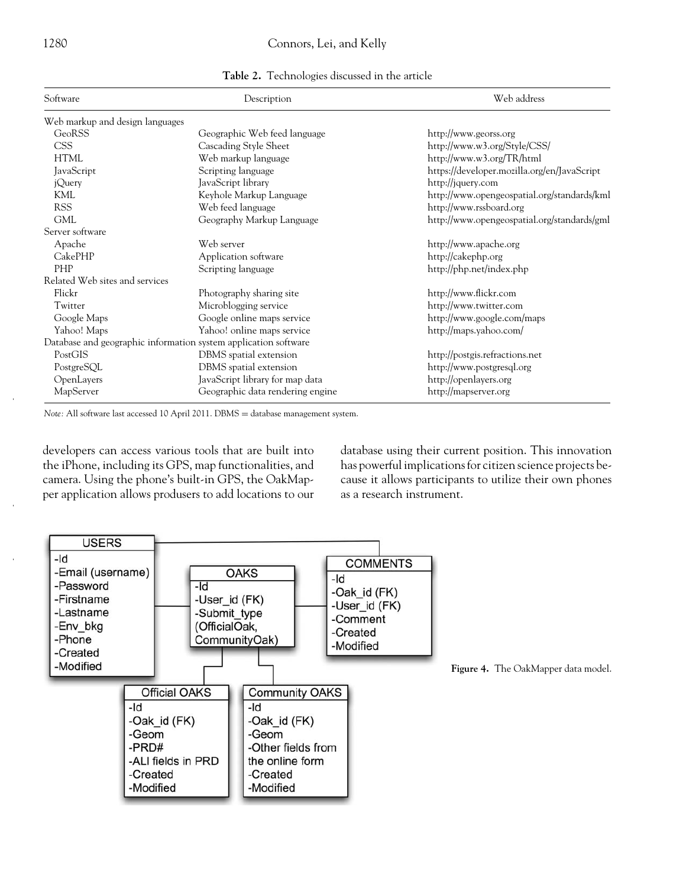| Software                        | Description                                                     | Web address                                 |
|---------------------------------|-----------------------------------------------------------------|---------------------------------------------|
| Web markup and design languages |                                                                 |                                             |
| GeoRSS                          | Geographic Web feed language                                    | http://www.georss.org                       |
| <b>CSS</b>                      | Cascading Style Sheet                                           | http://www.w3.org/Style/CSS/                |
| <b>HTML</b>                     | Web markup language                                             | http://www.w3.org/TR/html                   |
| JavaScript                      | Scripting language                                              | https://developer.mozilla.org/en/JavaScript |
| jQuery                          | JavaScript library                                              | http://jquery.com                           |
| <b>KML</b>                      | Keyhole Markup Language                                         | http://www.opengeospatial.org/standards/kml |
| RSS                             | Web feed language                                               | http://www.rssboard.org                     |
| <b>GML</b>                      | Geography Markup Language                                       | http://www.opengeospatial.org/standards/gml |
| Server software                 |                                                                 |                                             |
| Apache                          | Web server                                                      | http://www.apache.org                       |
| CakePHP                         | Application software                                            | http://cakephp.org                          |
| PHP                             | Scripting language                                              | http://php.net/index.php                    |
| Related Web sites and services  |                                                                 |                                             |
| Flickr                          | Photography sharing site                                        | http://www.flickr.com                       |
| Twitter                         | Microblogging service                                           | http://www.twitter.com                      |
| Google Maps                     | Google online maps service                                      | http://www.google.com/maps                  |
| Yahoo! Maps                     | Yahoo! online maps service                                      | http://maps.yahoo.com/                      |
|                                 | Database and geographic information system application software |                                             |
| PostGIS                         | DBMS spatial extension                                          | http://postgis.refractions.net              |
| PostgreSQL                      | DBMS spatial extension                                          | http://www.postgresql.org                   |
| OpenLayers                      | JavaScript library for map data                                 | http://openlayers.org                       |
| MapServer                       | Geographic data rendering engine                                | http://mapserver.org                        |

**Table 2.** Technologies discussed in the article

*Note:* All software last accessed 10 April 2011. DBMS = database management system.

developers can access various tools that are built into the iPhone, including its GPS, map functionalities, and camera. Using the phone's built-in GPS, the OakMapper application allows produsers to add locations to our database using their current position. This innovation has powerful implications for citizen science projects because it allows participants to utilize their own phones as a research instrument.



**Figure 4.** The OakMapper data model.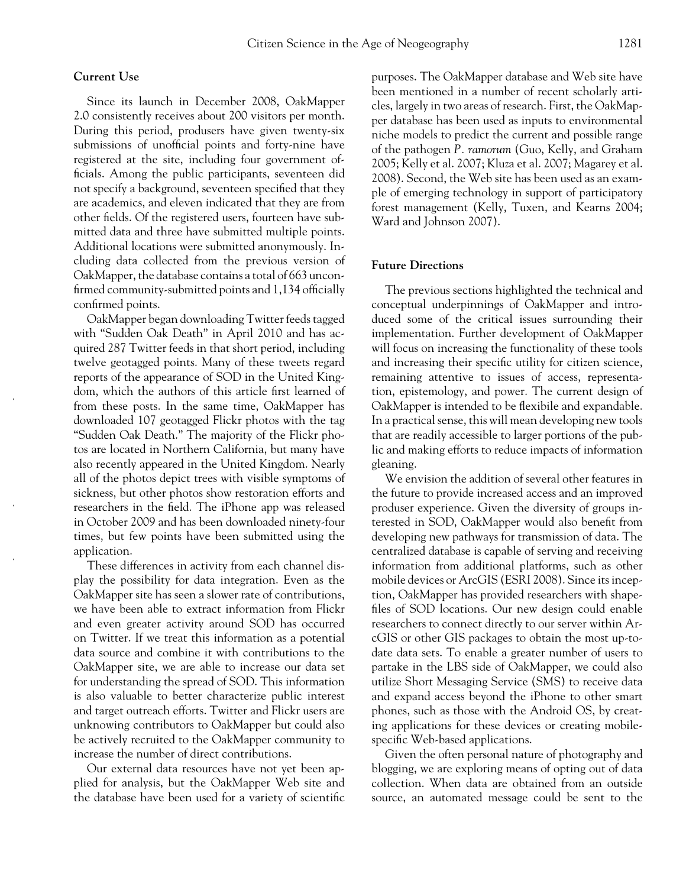### **Current Use**

Since its launch in December 2008, OakMapper 2.0 consistently receives about 200 visitors per month. During this period, produsers have given twenty-six submissions of unofficial points and forty-nine have registered at the site, including four government officials. Among the public participants, seventeen did not specify a background, seventeen specified that they are academics, and eleven indicated that they are from other fields. Of the registered users, fourteen have submitted data and three have submitted multiple points. Additional locations were submitted anonymously. Including data collected from the previous version of OakMapper, the database contains a total of 663 unconfirmed community-submitted points and 1,134 officially confirmed points.

OakMapper began downloading Twitter feeds tagged with "Sudden Oak Death" in April 2010 and has acquired 287 Twitter feeds in that short period, including twelve geotagged points. Many of these tweets regard reports of the appearance of SOD in the United Kingdom, which the authors of this article first learned of from these posts. In the same time, OakMapper has downloaded 107 geotagged Flickr photos with the tag "Sudden Oak Death." The majority of the Flickr photos are located in Northern California, but many have also recently appeared in the United Kingdom. Nearly all of the photos depict trees with visible symptoms of sickness, but other photos show restoration efforts and researchers in the field. The iPhone app was released in October 2009 and has been downloaded ninety-four times, but few points have been submitted using the application.

These differences in activity from each channel display the possibility for data integration. Even as the OakMapper site has seen a slower rate of contributions, we have been able to extract information from Flickr and even greater activity around SOD has occurred on Twitter. If we treat this information as a potential data source and combine it with contributions to the OakMapper site, we are able to increase our data set for understanding the spread of SOD. This information is also valuable to better characterize public interest and target outreach efforts. Twitter and Flickr users are unknowing contributors to OakMapper but could also be actively recruited to the OakMapper community to increase the number of direct contributions.

Our external data resources have not yet been applied for analysis, but the OakMapper Web site and the database have been used for a variety of scientific purposes. The OakMapper database and Web site have been mentioned in a number of recent scholarly articles, largely in two areas of research. First, the OakMapper database has been used as inputs to environmental niche models to predict the current and possible range of the pathogen *P. ramorum* (Guo, Kelly, and Graham 2005; Kelly et al. 2007; Kluza et al. 2007; Magarey et al. 2008). Second, the Web site has been used as an example of emerging technology in support of participatory forest management (Kelly, Tuxen, and Kearns 2004; Ward and Johnson 2007).

### **Future Directions**

The previous sections highlighted the technical and conceptual underpinnings of OakMapper and introduced some of the critical issues surrounding their implementation. Further development of OakMapper will focus on increasing the functionality of these tools and increasing their specific utility for citizen science, remaining attentive to issues of access, representation, epistemology, and power. The current design of OakMapper is intended to be flexibile and expandable. In a practical sense, this will mean developing new tools that are readily accessible to larger portions of the public and making efforts to reduce impacts of information gleaning.

We envision the addition of several other features in the future to provide increased access and an improved produser experience. Given the diversity of groups interested in SOD, OakMapper would also benefit from developing new pathways for transmission of data. The centralized database is capable of serving and receiving information from additional platforms, such as other mobile devices or ArcGIS (ESRI 2008). Since its inception, OakMapper has provided researchers with shapefiles of SOD locations. Our new design could enable researchers to connect directly to our server within ArcGIS or other GIS packages to obtain the most up-todate data sets. To enable a greater number of users to partake in the LBS side of OakMapper, we could also utilize Short Messaging Service (SMS) to receive data and expand access beyond the iPhone to other smart phones, such as those with the Android OS, by creating applications for these devices or creating mobilespecific Web-based applications.

Given the often personal nature of photography and blogging, we are exploring means of opting out of data collection. When data are obtained from an outside source, an automated message could be sent to the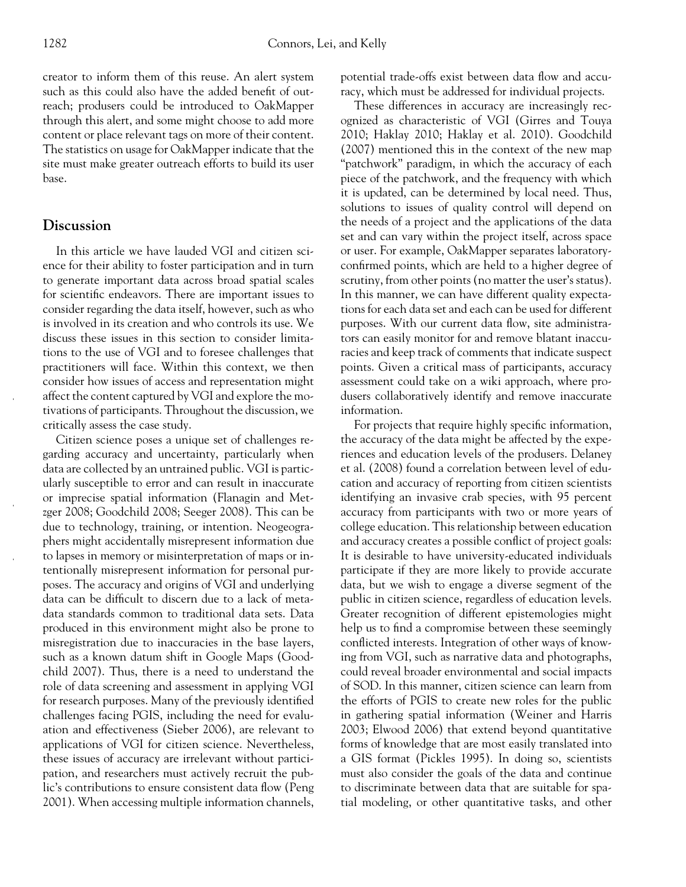creator to inform them of this reuse. An alert system such as this could also have the added benefit of outreach; produsers could be introduced to OakMapper through this alert, and some might choose to add more content or place relevant tags on more of their content. The statistics on usage for OakMapper indicate that the site must make greater outreach efforts to build its user base.

### **Discussion**

In this article we have lauded VGI and citizen science for their ability to foster participation and in turn to generate important data across broad spatial scales for scientific endeavors. There are important issues to consider regarding the data itself, however, such as who is involved in its creation and who controls its use. We discuss these issues in this section to consider limitations to the use of VGI and to foresee challenges that practitioners will face. Within this context, we then consider how issues of access and representation might affect the content captured by VGI and explore the motivations of participants. Throughout the discussion, we critically assess the case study.

Citizen science poses a unique set of challenges regarding accuracy and uncertainty, particularly when data are collected by an untrained public. VGI is particularly susceptible to error and can result in inaccurate or imprecise spatial information (Flanagin and Metzger 2008; Goodchild 2008; Seeger 2008). This can be due to technology, training, or intention. Neogeographers might accidentally misrepresent information due to lapses in memory or misinterpretation of maps or intentionally misrepresent information for personal purposes. The accuracy and origins of VGI and underlying data can be difficult to discern due to a lack of metadata standards common to traditional data sets. Data produced in this environment might also be prone to misregistration due to inaccuracies in the base layers, such as a known datum shift in Google Maps (Goodchild 2007). Thus, there is a need to understand the role of data screening and assessment in applying VGI for research purposes. Many of the previously identified challenges facing PGIS, including the need for evaluation and effectiveness (Sieber 2006), are relevant to applications of VGI for citizen science. Nevertheless, these issues of accuracy are irrelevant without participation, and researchers must actively recruit the public's contributions to ensure consistent data flow (Peng 2001). When accessing multiple information channels,

potential trade-offs exist between data flow and accuracy, which must be addressed for individual projects.

These differences in accuracy are increasingly recognized as characteristic of VGI (Girres and Touya 2010; Haklay 2010; Haklay et al. 2010). Goodchild (2007) mentioned this in the context of the new map "patchwork" paradigm, in which the accuracy of each piece of the patchwork, and the frequency with which it is updated, can be determined by local need. Thus, solutions to issues of quality control will depend on the needs of a project and the applications of the data set and can vary within the project itself, across space or user. For example, OakMapper separates laboratoryconfirmed points, which are held to a higher degree of scrutiny, from other points (no matter the user's status). In this manner, we can have different quality expectations for each data set and each can be used for different purposes. With our current data flow, site administrators can easily monitor for and remove blatant inaccuracies and keep track of comments that indicate suspect points. Given a critical mass of participants, accuracy assessment could take on a wiki approach, where produsers collaboratively identify and remove inaccurate information.

For projects that require highly specific information, the accuracy of the data might be affected by the experiences and education levels of the produsers. Delaney et al. (2008) found a correlation between level of education and accuracy of reporting from citizen scientists identifying an invasive crab species, with 95 percent accuracy from participants with two or more years of college education. This relationship between education and accuracy creates a possible conflict of project goals: It is desirable to have university-educated individuals participate if they are more likely to provide accurate data, but we wish to engage a diverse segment of the public in citizen science, regardless of education levels. Greater recognition of different epistemologies might help us to find a compromise between these seemingly conflicted interests. Integration of other ways of knowing from VGI, such as narrative data and photographs, could reveal broader environmental and social impacts of SOD. In this manner, citizen science can learn from the efforts of PGIS to create new roles for the public in gathering spatial information (Weiner and Harris 2003; Elwood 2006) that extend beyond quantitative forms of knowledge that are most easily translated into a GIS format (Pickles 1995). In doing so, scientists must also consider the goals of the data and continue to discriminate between data that are suitable for spatial modeling, or other quantitative tasks, and other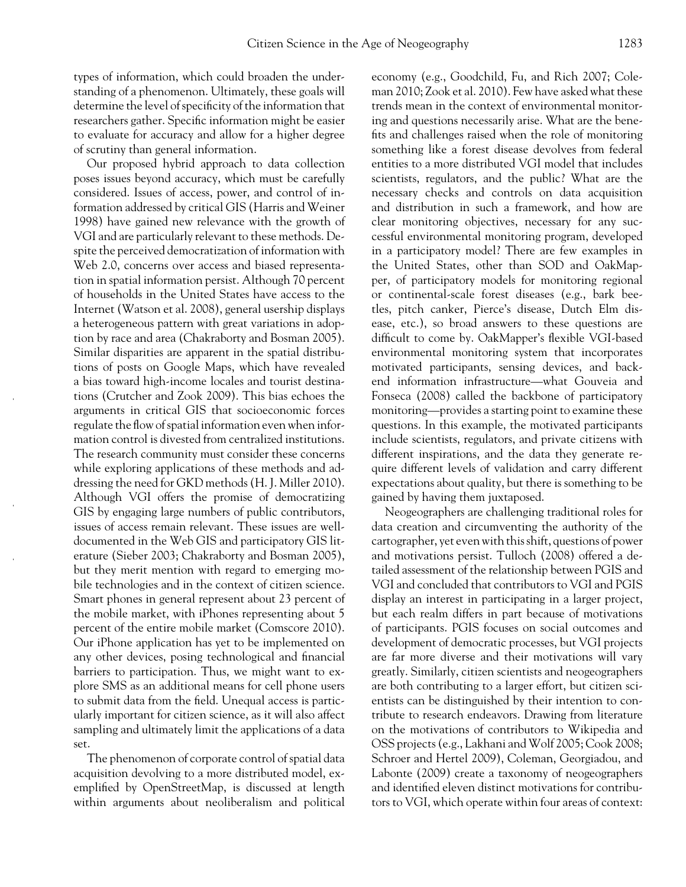types of information, which could broaden the understanding of a phenomenon. Ultimately, these goals will determine the level of specificity of the information that researchers gather. Specific information might be easier to evaluate for accuracy and allow for a higher degree of scrutiny than general information.

Our proposed hybrid approach to data collection poses issues beyond accuracy, which must be carefully considered. Issues of access, power, and control of information addressed by critical GIS (Harris and Weiner 1998) have gained new relevance with the growth of VGI and are particularly relevant to these methods. Despite the perceived democratization of information with Web 2.0, concerns over access and biased representation in spatial information persist. Although 70 percent of households in the United States have access to the Internet (Watson et al. 2008), general usership displays a heterogeneous pattern with great variations in adoption by race and area (Chakraborty and Bosman 2005). Similar disparities are apparent in the spatial distributions of posts on Google Maps, which have revealed a bias toward high-income locales and tourist destinations (Crutcher and Zook 2009). This bias echoes the arguments in critical GIS that socioeconomic forces regulate the flow of spatial information even when information control is divested from centralized institutions. The research community must consider these concerns while exploring applications of these methods and addressing the need for GKD methods (H. J. Miller 2010). Although VGI offers the promise of democratizing GIS by engaging large numbers of public contributors, issues of access remain relevant. These issues are welldocumented in the Web GIS and participatory GIS literature (Sieber 2003; Chakraborty and Bosman 2005), but they merit mention with regard to emerging mobile technologies and in the context of citizen science. Smart phones in general represent about 23 percent of the mobile market, with iPhones representing about 5 percent of the entire mobile market (Comscore 2010). Our iPhone application has yet to be implemented on any other devices, posing technological and financial barriers to participation. Thus, we might want to explore SMS as an additional means for cell phone users to submit data from the field. Unequal access is particularly important for citizen science, as it will also affect sampling and ultimately limit the applications of a data set.

The phenomenon of corporate control of spatial data acquisition devolving to a more distributed model, exemplified by OpenStreetMap, is discussed at length within arguments about neoliberalism and political economy (e.g., Goodchild, Fu, and Rich 2007; Coleman 2010; Zook et al. 2010). Few have asked what these trends mean in the context of environmental monitoring and questions necessarily arise. What are the benefits and challenges raised when the role of monitoring something like a forest disease devolves from federal entities to a more distributed VGI model that includes scientists, regulators, and the public? What are the necessary checks and controls on data acquisition and distribution in such a framework, and how are clear monitoring objectives, necessary for any successful environmental monitoring program, developed in a participatory model? There are few examples in the United States, other than SOD and OakMapper, of participatory models for monitoring regional or continental-scale forest diseases (e.g., bark beetles, pitch canker, Pierce's disease, Dutch Elm disease, etc.), so broad answers to these questions are difficult to come by. OakMapper's flexible VGI-based environmental monitoring system that incorporates motivated participants, sensing devices, and backend information infrastructure—what Gouveia and Fonseca (2008) called the backbone of participatory monitoring—provides a starting point to examine these questions. In this example, the motivated participants include scientists, regulators, and private citizens with different inspirations, and the data they generate require different levels of validation and carry different expectations about quality, but there is something to be gained by having them juxtaposed.

Neogeographers are challenging traditional roles for data creation and circumventing the authority of the cartographer, yet even with this shift, questions of power and motivations persist. Tulloch (2008) offered a detailed assessment of the relationship between PGIS and VGI and concluded that contributors to VGI and PGIS display an interest in participating in a larger project, but each realm differs in part because of motivations of participants. PGIS focuses on social outcomes and development of democratic processes, but VGI projects are far more diverse and their motivations will vary greatly. Similarly, citizen scientists and neogeographers are both contributing to a larger effort, but citizen scientists can be distinguished by their intention to contribute to research endeavors. Drawing from literature on the motivations of contributors to Wikipedia and OSS projects (e.g., Lakhani and Wolf 2005; Cook 2008; Schroer and Hertel 2009), Coleman, Georgiadou, and Labonte (2009) create a taxonomy of neogeographers and identified eleven distinct motivations for contributors to VGI, which operate within four areas of context: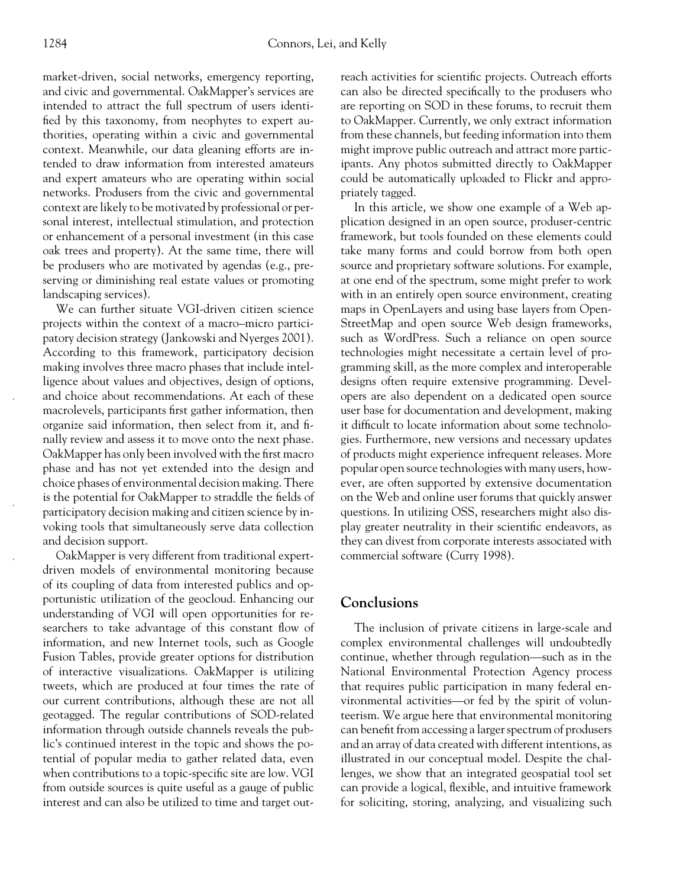market-driven, social networks, emergency reporting, and civic and governmental. OakMapper's services are intended to attract the full spectrum of users identified by this taxonomy, from neophytes to expert authorities, operating within a civic and governmental context. Meanwhile, our data gleaning efforts are intended to draw information from interested amateurs and expert amateurs who are operating within social networks. Produsers from the civic and governmental context are likely to be motivated by professional or personal interest, intellectual stimulation, and protection or enhancement of a personal investment (in this case oak trees and property). At the same time, there will be produsers who are motivated by agendas (e.g., preserving or diminishing real estate values or promoting landscaping services).

We can further situate VGI-driven citizen science projects within the context of a macro–micro participatory decision strategy (Jankowski and Nyerges 2001). According to this framework, participatory decision making involves three macro phases that include intelligence about values and objectives, design of options, and choice about recommendations. At each of these macrolevels, participants first gather information, then organize said information, then select from it, and finally review and assess it to move onto the next phase. OakMapper has only been involved with the first macro phase and has not yet extended into the design and choice phases of environmental decision making. There is the potential for OakMapper to straddle the fields of participatory decision making and citizen science by invoking tools that simultaneously serve data collection and decision support.

OakMapper is very different from traditional expertdriven models of environmental monitoring because of its coupling of data from interested publics and opportunistic utilization of the geocloud. Enhancing our understanding of VGI will open opportunities for researchers to take advantage of this constant flow of information, and new Internet tools, such as Google Fusion Tables, provide greater options for distribution of interactive visualizations. OakMapper is utilizing tweets, which are produced at four times the rate of our current contributions, although these are not all geotagged. The regular contributions of SOD-related information through outside channels reveals the public's continued interest in the topic and shows the potential of popular media to gather related data, even when contributions to a topic-specific site are low. VGI from outside sources is quite useful as a gauge of public interest and can also be utilized to time and target outreach activities for scientific projects. Outreach efforts can also be directed specifically to the produsers who are reporting on SOD in these forums, to recruit them to OakMapper. Currently, we only extract information from these channels, but feeding information into them might improve public outreach and attract more participants. Any photos submitted directly to OakMapper could be automatically uploaded to Flickr and appropriately tagged.

In this article, we show one example of a Web application designed in an open source, produser-centric framework, but tools founded on these elements could take many forms and could borrow from both open source and proprietary software solutions. For example, at one end of the spectrum, some might prefer to work with in an entirely open source environment, creating maps in OpenLayers and using base layers from Open-StreetMap and open source Web design frameworks, such as WordPress. Such a reliance on open source technologies might necessitate a certain level of programming skill, as the more complex and interoperable designs often require extensive programming. Developers are also dependent on a dedicated open source user base for documentation and development, making it difficult to locate information about some technologies. Furthermore, new versions and necessary updates of products might experience infrequent releases. More popular open source technologies with many users, however, are often supported by extensive documentation on the Web and online user forums that quickly answer questions. In utilizing OSS, researchers might also display greater neutrality in their scientific endeavors, as they can divest from corporate interests associated with commercial software (Curry 1998).

# **Conclusions**

The inclusion of private citizens in large-scale and complex environmental challenges will undoubtedly continue, whether through regulation—such as in the National Environmental Protection Agency process that requires public participation in many federal environmental activities—or fed by the spirit of volunteerism. We argue here that environmental monitoring can benefit from accessing a larger spectrum of produsers and an array of data created with different intentions, as illustrated in our conceptual model. Despite the challenges, we show that an integrated geospatial tool set can provide a logical, flexible, and intuitive framework for soliciting, storing, analyzing, and visualizing such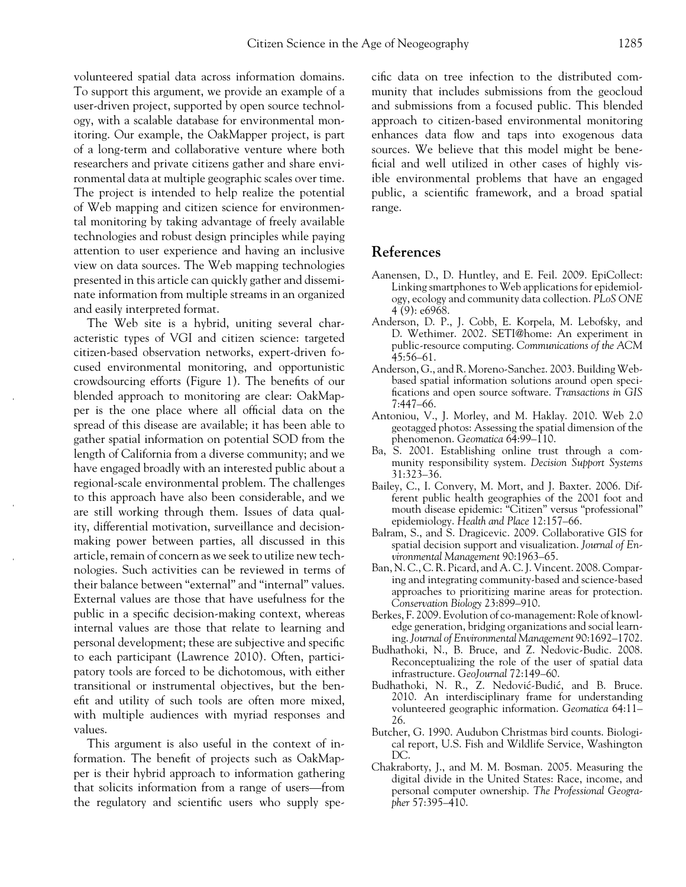volunteered spatial data across information domains. To support this argument, we provide an example of a user-driven project, supported by open source technology, with a scalable database for environmental monitoring. Our example, the OakMapper project, is part of a long-term and collaborative venture where both researchers and private citizens gather and share environmental data at multiple geographic scales over time. The project is intended to help realize the potential of Web mapping and citizen science for environmental monitoring by taking advantage of freely available technologies and robust design principles while paying attention to user experience and having an inclusive view on data sources. The Web mapping technologies presented in this article can quickly gather and disseminate information from multiple streams in an organized and easily interpreted format.

The Web site is a hybrid, uniting several characteristic types of VGI and citizen science: targeted citizen-based observation networks, expert-driven focused environmental monitoring, and opportunistic crowdsourcing efforts (Figure 1). The benefits of our blended approach to monitoring are clear: OakMapper is the one place where all official data on the spread of this disease are available; it has been able to gather spatial information on potential SOD from the length of California from a diverse community; and we have engaged broadly with an interested public about a regional-scale environmental problem. The challenges to this approach have also been considerable, and we are still working through them. Issues of data quality, differential motivation, surveillance and decisionmaking power between parties, all discussed in this article, remain of concern as we seek to utilize new technologies. Such activities can be reviewed in terms of their balance between "external" and "internal" values. External values are those that have usefulness for the public in a specific decision-making context, whereas internal values are those that relate to learning and personal development; these are subjective and specific to each participant (Lawrence 2010). Often, participatory tools are forced to be dichotomous, with either transitional or instrumental objectives, but the benefit and utility of such tools are often more mixed, with multiple audiences with myriad responses and values.

This argument is also useful in the context of information. The benefit of projects such as OakMapper is their hybrid approach to information gathering that solicits information from a range of users—from the regulatory and scientific users who supply specific data on tree infection to the distributed community that includes submissions from the geocloud and submissions from a focused public. This blended approach to citizen-based environmental monitoring enhances data flow and taps into exogenous data sources. We believe that this model might be beneficial and well utilized in other cases of highly visible environmental problems that have an engaged public, a scientific framework, and a broad spatial range.

# **References**

- Aanensen, D., D. Huntley, and E. Feil. 2009. EpiCollect: Linking smartphones to Web applications for epidemiology, ecology and community data collection. *PLoS ONE* 4 (9): e6968.
- Anderson, D. P., J. Cobb, E. Korpela, M. Lebofsky, and D. Wethimer. 2002. SETI@home: An experiment in public-resource computing. *Communications of the ACM* 45:56–61.
- Anderson, G., and R. Moreno-Sanchez. 2003. Building Webbased spatial information solutions around open specifications and open source software. *Transactions in GIS* 7:447–66.
- Antoniou, V., J. Morley, and M. Haklay. 2010. Web 2.0 geotagged photos: Assessing the spatial dimension of the phenomenon. Geomatica 64:99-110.
- Ba, S. 2001. Establishing online trust through a community responsibility system. *Decision Support Systems* 31:323–36.
- Bailey, C., I. Convery, M. Mort, and J. Baxter. 2006. Different public health geographies of the 2001 foot and mouth disease epidemic: "Citizen" versus "professional" epidemiology. *Health and Place* 12:157–66.
- Balram, S., and S. Dragicevic. 2009. Collaborative GIS for spatial decision support and visualization. *Journal of Environmental Management* 90:1963–65.
- Ban, N. C., C. R. Picard, and A. C. J. Vincent. 2008. Comparing and integrating community-based and science-based approaches to prioritizing marine areas for protection. *Conservation Biology* 23:899–910.
- Berkes, F. 2009. Evolution of co-management: Role of knowledge generation, bridging organizations and social learning. *Journal of Environmental Management* 90:1692–1702.
- Budhathoki, N., B. Bruce, and Z. Nedovic-Budic. 2008. Reconceptualizing the role of the user of spatial data infrastructure. *GeoJournal* 72:149–60.
- Budhathoki, N. R., Z. Nedović-Budić, and B. Bruce. 2010. An interdisciplinary frame for understanding volunteered geographic information. *Geomatica* 64:11– 26.
- Butcher, G. 1990. Audubon Christmas bird counts. Biological report, U.S. Fish and Wildlife Service, Washington DC.
- Chakraborty, J., and M. M. Bosman. 2005. Measuring the digital divide in the United States: Race, income, and personal computer ownership. *The Professional Geographer* 57:395–410.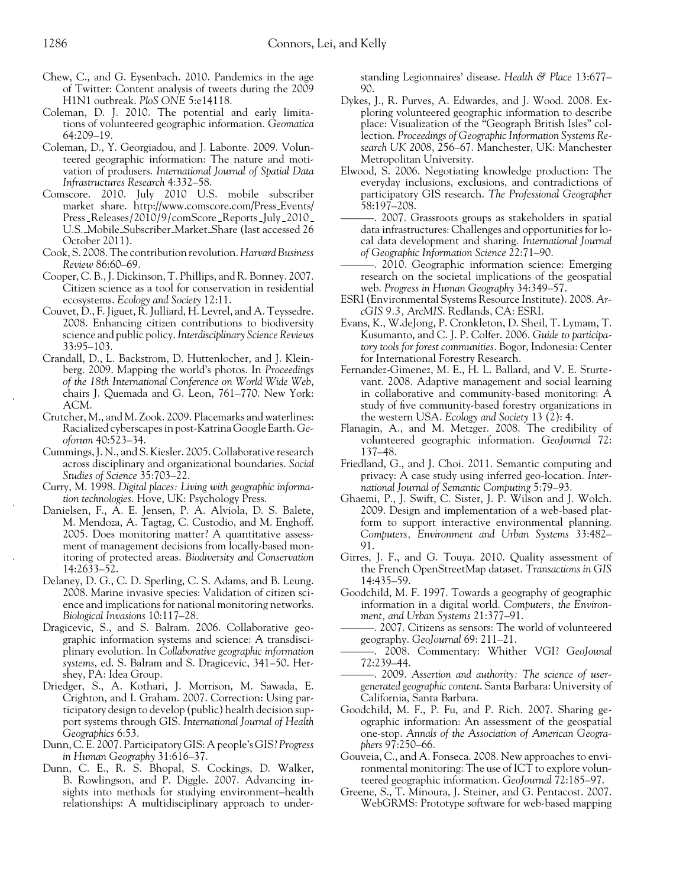- Chew, C., and G. Eysenbach. 2010. Pandemics in the age of Twitter: Content analysis of tweets during the 2009 H1N1 outbreak. *PloS ONE* 5:e14118.
- Coleman, D. J. 2010. The potential and early limitations of volunteered geographic information. *Geomatica* 64:209–19.
- Coleman, D., Y. Georgiadou, and J. Labonte. 2009. Volunteered geographic information: The nature and motivation of produsers. *International Journal of Spatial Data Infrastructures Research* 4:332–58.
- Comscore. 2010. July 2010 U.S. mobile subscriber market share. http://www.comscore.com/Press Events/ Press\_Releases/2010/9/comScore\_Reports\_July\_2010\_ U.S. Mobile Subscriber Market Share (last accessed 26 October 2011).
- Cook, S. 2008. The contribution revolution.*Harvard Business Review* 86:60–69.
- Cooper, C. B., J. Dickinson, T. Phillips, and R. Bonney. 2007. Citizen science as a tool for conservation in residential ecosystems. *Ecology and Society* 12:11.
- Couvet, D., F. Jiguet, R. Julliard, H. Levrel, and A. Teyssedre. 2008. Enhancing citizen contributions to biodiversity science and public policy.*Interdisciplinary Science Reviews* 33:95–103.
- Crandall, D., L. Backstrom, D. Huttenlocher, and J. Kleinberg. 2009. Mapping the world's photos. In *Proceedings of the 18th International Conference on World Wide Web*, chairs J. Quemada and G. Leon, 761–770. New York: ACM.
- Crutcher, M., and M. Zook. 2009. Placemarks and waterlines: Racialized cyberscapes in post-Katrina Google Earth.*Geoforum* 40:523–34.
- Cummings, J. N., and S. Kiesler. 2005. Collaborative research across disciplinary and organizational boundaries. *Social Studies of Science* 35:703–22.
- Curry, M. 1998. *Digital places: Living with geographic information technologies*. Hove, UK: Psychology Press.
- Danielsen, F., A. E. Jensen, P. A. Alviola, D. S. Balete, M. Mendoza, A. Tagtag, C. Custodio, and M. Enghoff. 2005. Does monitoring matter? A quantitative assessment of management decisions from locally-based monitoring of protected areas. *Biodiversity and Conservation* 14:2633–52.
- Delaney, D. G., C. D. Sperling, C. S. Adams, and B. Leung. 2008. Marine invasive species: Validation of citizen science and implications for national monitoring networks. *Biological Invasions* 10:117–28.
- Dragicevic, S., and S. Balram. 2006. Collaborative geographic information systems and science: A transdisciplinary evolution. In *Collaborative geographic information systems*, ed. S. Balram and S. Dragicevic, 341–50. Hershey, PA: Idea Group.
- Driedger, S., A. Kothari, J. Morrison, M. Sawada, E. Crighton, and I. Graham. 2007. Correction: Using participatory design to develop (public) health decision support systems through GIS. *International Journal of Health Geographics* 6:53.
- Dunn, C. E. 2007. Participatory GIS: A people's GIS? *Progress in Human Geography* 31:616–37.
- Dunn, C. E., R. S. Bhopal, S. Cockings, D. Walker, B. Rowlingson, and P. Diggle. 2007. Advancing insights into methods for studying environment–health relationships: A multidisciplinary approach to under-

standing Legionnaires' disease. *Health & Place* 13:677– 90.

- Dykes, J., R. Purves, A. Edwardes, and J. Wood. 2008. Exploring volunteered geographic information to describe place: Visualization of the "Geograph British Isles" collection. *Proceedings of Geographic Information Systems Research UK 2008*, 256–67. Manchester, UK: Manchester Metropolitan University.
- Elwood, S. 2006. Negotiating knowledge production: The everyday inclusions, exclusions, and contradictions of participatory GIS research. *The Professional Geographer* 58:197–208.
	- ———. 2007. Grassroots groups as stakeholders in spatial data infrastructures: Challenges and opportunities for local data development and sharing. *International Journal of Geographic Information Science* 22:71–90.
	- 2010. Geographic information science: Emerging research on the societal implications of the geospatial web. *Progress in Human Geography* 34:349–57.
- ESRI (Environmental Systems Resource Institute). 2008. *ArcGIS 9.3, ArcMIS*. Redlands, CA: ESRI.
- Evans, K., W.deJong, P. Cronkleton, D. Sheil, T. Lymam, T. Kusumanto, and C. J. P. Colfer. 2006. *Guide to participatory tools for forest communities*. Bogor, Indonesia: Center for International Forestry Research.
- Fernandez-Gimenez, M. E., H. L. Ballard, and V. E. Sturtevant. 2008. Adaptive management and social learning in collaborative and community-based monitoring: A study of five community-based forestry organizations in the western USA. *Ecology and Society* 13 (2): 4.
- Flanagin, A., and M. Metzger. 2008. The credibility of volunteered geographic information. *GeoJournal* 72: 137–48.
- Friedland, G., and J. Choi. 2011. Semantic computing and privacy: A case study using inferred geo-location. *International Journal of Semantic Computing* 5:79–93.
- Ghaemi, P., J. Swift, C. Sister, J. P. Wilson and J. Wolch. 2009. Design and implementation of a web-based platform to support interactive environmental planning. *Computers, Environment and Urban Systems* 33:482– 91.
- Girres, J. F., and G. Touya. 2010. Quality assessment of the French OpenStreetMap dataset. *Transactions in GIS* 14:435–59.
- Goodchild, M. F. 1997. Towards a geography of geographic information in a digital world. *Computers, the Environment, and Urban Systems* 21:377–91.
- ———. 2007. Citizens as sensors: The world of volunteered geography. *GeoJournal* 69: 211–21.
- ———. 2008. Commentary: Whither VGI? *GeoJounal* 72:239–44.
- -. 2009. Assertion and authority: The science of user*generated geographic content*. Santa Barbara: University of California, Santa Barbara.
- Goodchild, M. F., P. Fu, and P. Rich. 2007. Sharing geographic information: An assessment of the geospatial one-stop. *Annals of the Association of American Geographers* 97:250–66.
- Gouveia, C., and A. Fonseca. 2008. New approaches to environmental monitoring: The use of ICT to explore volunteered geographic information. *GeoJournal* 72:185–97.
- Greene, S., T. Minoura, J. Steiner, and G. Pentacost. 2007. WebGRMS: Prototype software for web-based mapping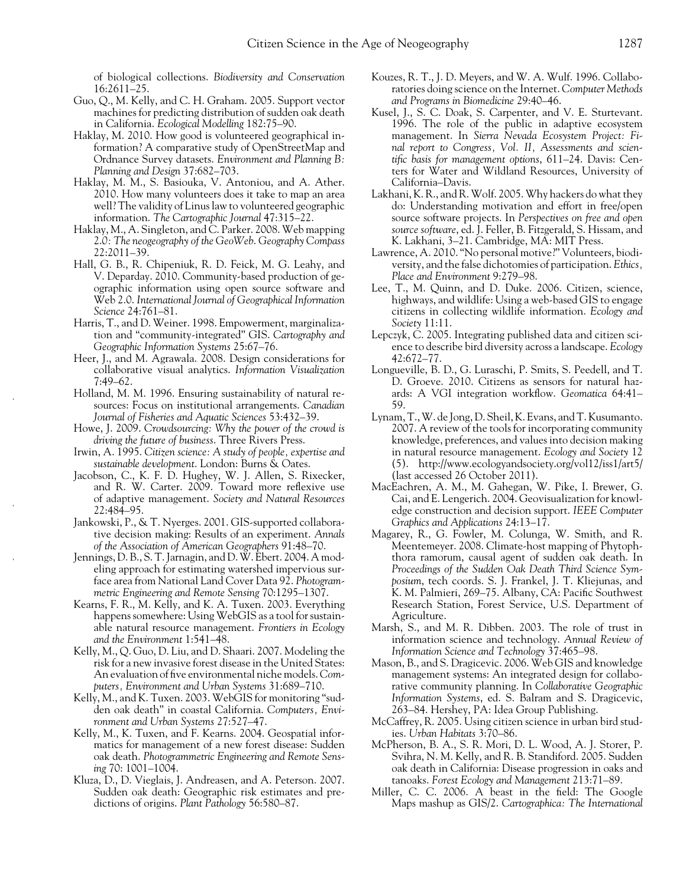of biological collections. *Biodiversity and Conservation* 16:2611–25.

- Guo, Q., M. Kelly, and C. H. Graham. 2005. Support vector machines for predicting distribution of sudden oak death in California. *Ecological Modelling* 182:75–90.
- Haklay, M. 2010. How good is volunteered geographical information? A comparative study of OpenStreetMap and Ordnance Survey datasets. *Environment and Planning B: Planning and Design* 37:682–703.
- Haklay, M. M., S. Basiouka, V. Antoniou, and A. Ather. 2010. How many volunteers does it take to map an area well? The validity of Linus law to volunteered geographic information. *The Cartographic Journal* 47:315–22.
- Haklay, M., A. Singleton, and C. Parker. 2008. Web mapping 2.*0: The neogeography of the GeoWeb*. *Geography Compass* 22:2011–39.
- Hall, G. B., R. Chipeniuk, R. D. Feick, M. G. Leahy, and V. Deparday. 2010. Community-based production of geographic information using open source software and Web 2.0. *International Journal of Geographical Information Science* 24:761–81.
- Harris, T., and D. Weiner. 1998. Empowerment, marginalization and "community-integrated" GIS. *Cartography and Geographic Information Systems* 25:67–76.
- Heer, J., and M. Agrawala. 2008. Design considerations for collaborative visual analytics. *Information Visualization* 7:49–62.
- Holland, M. M. 1996. Ensuring sustainability of natural resources: Focus on institutional arrangements. *Canadian Journal of Fisheries and Aquatic Sciences* 53:432–39.
- Howe, J. 2009. *Crowdsourcing: Why the power of the crowd is driving the future of business*. Three Rivers Press.
- Irwin, A. 1995. *Citizen science: A study of people, expertise and sustainable development*. London: Burns & Oates.
- Jacobson, C., K. F. D. Hughey, W. J. Allen, S. Rixecker, and R. W. Carter. 2009. Toward more reflexive use of adaptive management. *Society and Natural Resources* 22:484–95.
- Jankowski, P., & T. Nyerges. 2001. GIS-supported collaborative decision making: Results of an experiment. *Annals of the Association of American Geographers* 91:48–70.
- Jennings, D. B., S. T. Jarnagin, and D.W. Ebert. 2004. A modeling approach for estimating watershed impervious surface area from National Land Cover Data 92. *Photogrammetric Engineering and Remote Sensing* 70:1295–1307.
- Kearns, F. R., M. Kelly, and K. A. Tuxen. 2003. Everything happens somewhere: Using WebGIS as a tool for sustainable natural resource management. *Frontiers in Ecology and the Environment* 1:541–48.
- Kelly, M., Q. Guo, D. Liu, and D. Shaari. 2007. Modeling the risk for a new invasive forest disease in the United States: An evaluation of five environmental niche models. *Computers, Environment and Urban Systems* 31:689–710.
- Kelly, M., and K. Tuxen. 2003. WebGIS for monitoring "sudden oak death" in coastal California. *Computers, Environment and Urban Systems* 27:527–47.
- Kelly, M., K. Tuxen, and F. Kearns. 2004. Geospatial informatics for management of a new forest disease: Sudden oak death. *Photogrammetric Engineering and Remote Sensing* 70: 1001–1004.
- Kluza, D., D. Vieglais, J. Andreasen, and A. Peterson. 2007. Sudden oak death: Geographic risk estimates and predictions of origins. *Plant Pathology* 56:580–87.
- Kouzes, R. T., J. D. Meyers, and W. A. Wulf. 1996. Collaboratories doing science on the Internet. *Computer Methods and Programs in Biomedicine* 29:40–46.
- Kusel, J., S. C. Doak, S. Carpenter, and V. E. Sturtevant. 1996. The role of the public in adaptive ecosystem management. In *Sierra Nevada Ecosystem Project: Final report to Congress, Vol. II, Assessments and scientific basis for management options*, 611–24. Davis: Centers for Water and Wildland Resources, University of California–Davis.
- Lakhani, K. R., and R. Wolf. 2005. Why hackers do what they do: Understanding motivation and effort in free/open source software projects. In *Perspectives on free and open source software*, ed. J. Feller, B. Fitzgerald, S. Hissam, and K. Lakhani, 3–21. Cambridge, MA: MIT Press.
- Lawrence, A. 2010. "No personal motive?" Volunteers, biodiversity, and the false dichotomies of participation. *Ethics, Place and Environment* 9:279–98.
- Lee, T., M. Quinn, and D. Duke. 2006. Citizen, science, highways, and wildlife: Using a web-based GIS to engage citizens in collecting wildlife information. *Ecology and Society* 11:11.
- Lepczyk, C. 2005. Integrating published data and citizen science to describe bird diversity across a landscape. *Ecology* 42:672–77.
- Longueville, B. D., G. Luraschi, P. Smits, S. Peedell, and T. D. Groeve. 2010. Citizens as sensors for natural hazards: A VGI integration workflow. *Geomatica* 64:41– 59.
- Lynam, T.,W. de Jong, D. Sheil, K. Evans, and T. Kusumanto. 2007. A review of the tools for incorporating community knowledge, preferences, and values into decision making in natural resource management. *Ecology and Society* 12 (5). http://www.ecologyandsociety.org/vol12/iss1/art5/ (last accessed 26 October 2011).
- MacEachren, A. M., M. Gahegan, W. Pike, I. Brewer, G. Cai, and E. Lengerich. 2004. Geovisualization for knowledge construction and decision support. *IEEE Computer Graphics and Applications* 24:13–17.
- Magarey, R., G. Fowler, M. Colunga, W. Smith, and R. Meentemeyer. 2008. Climate-host mapping of Phytophthora ramorum, causal agent of sudden oak death. In *Proceedings of the Sudden Oak Death Third Science Symposium*, tech coords. S. J. Frankel, J. T. Kliejunas, and K. M. Palmieri, 269–75. Albany, CA: Pacific Southwest Research Station, Forest Service, U.S. Department of Agriculture.
- Marsh, S., and M. R. Dibben. 2003. The role of trust in information science and technology. *Annual Review of Information Science and Technology* 37:465–98.
- Mason, B., and S. Dragicevic. 2006. Web GIS and knowledge management systems: An integrated design for collaborative community planning. In *Collaborative Geographic Information Systems*, ed. S. Balram and S. Dragicevic, 263–84. Hershey, PA: Idea Group Publishing.
- McCaffrey, R. 2005. Using citizen science in urban bird studies. *Urban Habitats* 3:70–86.
- McPherson, B. A., S. R. Mori, D. L. Wood, A. J. Storer, P. Svihra, N. M. Kelly, and R. B. Standiford. 2005. Sudden oak death in California: Disease progression in oaks and tanoaks. *Forest Ecology and Management* 213:71–89.
- Miller, C. C. 2006. A beast in the field: The Google Maps mashup as GIS/2. *Cartographica: The International*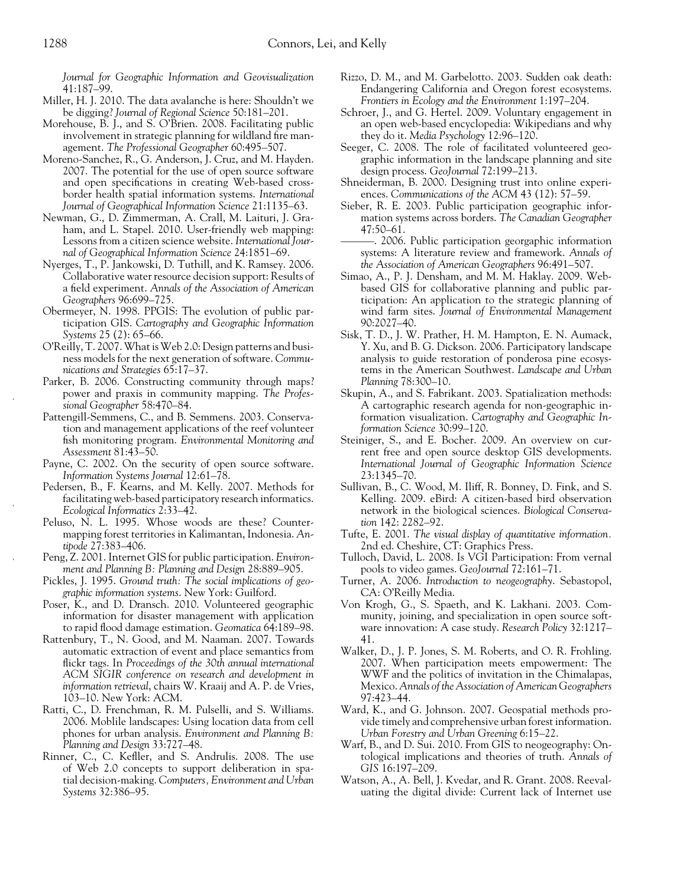*Journal for Geographic Information and Geovisualization* 41:187–99.

- Miller, H. J. 2010. The data avalanche is here: Shouldn't we be digging? *Journal of Regional Science* 50:181–201.
- Morehouse, B. J., and S. O'Brien. 2008. Facilitating public involvement in strategic planning for wildland fire management. *The Professional Geographer* 60:495–507.
- Moreno-Sanchez, R., G. Anderson, J. Cruz, and M. Hayden. 2007. The potential for the use of open source software and open specifications in creating Web-based crossborder health spatial information systems. *International Journal of Geographical Information Science* 21:1135–63.
- Newman, G., D. Zimmerman, A. Crall, M. Laituri, J. Graham, and L. Stapel. 2010. User-friendly web mapping: Lessons from a citizen science website. *International Journal of Geographical Information Science* 24:1851–69.
- Nyerges, T., P. Jankowski, D. Tuthill, and K. Ramsey. 2006. Collaborative water resource decision support: Results of a field experiment. *Annals of the Association of American Geographers* 96:699–725.
- Obermeyer, N. 1998. PPGIS: The evolution of public participation GIS. *Cartography and Geographic Information Systems* 25 (2): 65–66.
- O'Reilly, T. 2007.What isWeb 2.0: Design patterns and business models for the next generation of software. *Communications and Strategies* 65:17–37.
- Parker, B. 2006. Constructing community through maps? power and praxis in community mapping. *The Professional Geographer* 58:470–84.
- Pattengill-Semmens, C., and B. Semmens. 2003. Conservation and management applications of the reef volunteer fish monitoring program. *Environmental Monitoring and Assessment* 81:43–50.
- Payne, C. 2002. On the security of open source software. *Information Systems Journal* 12:61–78.
- Pedersen, B., F. Kearns, and M. Kelly. 2007. Methods for facilitating web-based participatory research informatics. *Ecological Informatics* 2:33–42.
- Peluso, N. L. 1995. Whose woods are these? Countermapping forest territories in Kalimantan, Indonesia. *Antipode* 27:383–406.
- Peng, Z. 2001. Internet GIS for public participation. *Environment and Planning B: Planning and Design* 28:889–905.
- Pickles, J. 1995. *Ground truth: The social implications of geographic information systems*. New York: Guilford.
- Poser, K., and D. Dransch. 2010. Volunteered geographic information for disaster management with application to rapid flood damage estimation. *Geomatica* 64:189–98.
- Rattenbury, T., N. Good, and M. Naaman. 2007. Towards automatic extraction of event and place semantics from flickr tags. In *Proceedings of the 30th annual international ACM SIGIR conference on research and development in information retrieval*, chairs W. Kraaij and A. P. de Vries, 103–10. New York: ACM.
- Ratti, C., D. Frenchman, R. M. Pulselli, and S. Williams. 2006. Moblile landscapes: Using location data from cell phones for urban analysis. *Environment and Planning B: Planning and Design* 33:727–48.
- Rinner, C., C. Kefller, and S. Andrulis. 2008. The use of Web 2.0 concepts to support deliberation in spatial decision-making. *Computers, Environment and Urban Systems* 32:386–95.
- Rizzo, D. M., and M. Garbelotto. 2003. Sudden oak death: Endangering California and Oregon forest ecosystems. *Frontiers in Ecology and the Environment* 1:197–204.
- Schroer, J., and G. Hertel. 2009. Voluntary engagement in an open web-based encyclopedia: Wikipedians and why they do it. *Media Psychology* 12:96–120.
- Seeger, C. 2008. The role of facilitated volunteered geographic information in the landscape planning and site design process. *GeoJournal* 72:199–213.
- Shneiderman, B. 2000. Designing trust into online experiences. *Communications of the ACM* 43 (12): 57–59.
- Sieber, R. E. 2003. Public participation geographic information systems across borders. *The Canadian Geographer* 47:50–61.
- -. 2006. Public participation georgaphic information systems: A literature review and framework. *Annals of the Association of American Geographers* 96:491–507.
- Simao, A., P. J. Densham, and M. M. Haklay. 2009. Webbased GIS for collaborative planning and public participation: An application to the strategic planning of wind farm sites. *Journal of Environmental Management* 90:2027–40.
- Sisk, T. D., J. W. Prather, H. M. Hampton, E. N. Aumack, Y. Xu, and B. G. Dickson. 2006. Participatory landscape analysis to guide restoration of ponderosa pine ecosystems in the American Southwest. *Landscape and Urban Planning* 78:300–10.
- Skupin, A., and S. Fabrikant. 2003. Spatialization methods: A cartographic research agenda for non-geographic information visualization. *Cartography and Geographic Information Science* 30:99–120.
- Steiniger, S., and E. Bocher. 2009. An overview on current free and open source desktop GIS developments. *International Journal of Geographic Information Science* 23:1345–70.
- Sullivan, B., C. Wood, M. Iliff, R. Bonney, D. Fink, and S. Kelling. 2009. eBird: A citizen-based bird observation network in the biological sciences. *Biological Conservation* 142: 2282–92.
- Tufte, E. 2001. *The visual display of quantitative information.* 2nd ed. Cheshire, CT: Graphics Press.
- Tulloch, David, L. 2008. Is VGI Participation: From vernal pools to video games. *GeoJournal* 72:161–71.
- Turner, A. 2006. *Introduction to neogeography*. Sebastopol, CA: O'Reilly Media.
- Von Krogh, G., S. Spaeth, and K. Lakhani. 2003. Community, joining, and specialization in open source software innovation: A case study. *Research Policy* 32:1217– 41.
- Walker, D., J. P. Jones, S. M. Roberts, and O. R. Frohling. 2007. When participation meets empowerment: The WWF and the politics of invitation in the Chimalapas, Mexico. *Annals of the Association of American Geographers* 97:423–44.
- Ward, K., and G. Johnson. 2007. Geospatial methods provide timely and comprehensive urban forest information. *Urban Forestry and Urban Greening* 6:15–22.
- Warf, B., and D. Sui. 2010. From GIS to neogeography: Ontological implications and theories of truth. *Annals of GIS* 16:197–209.
- Watson, A., A. Bell, J. Kvedar, and R. Grant. 2008. Reevaluating the digital divide: Current lack of Internet use